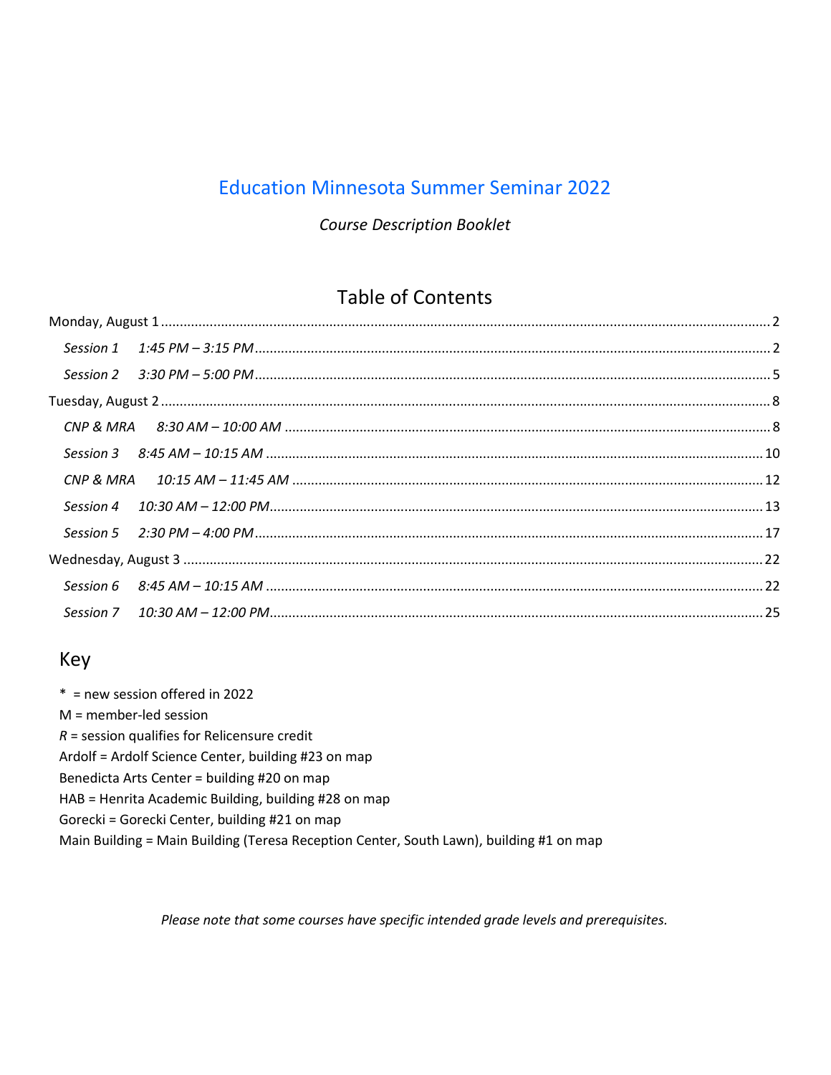# **Education Minnesota Summer Seminar 2022**

## **Course Description Booklet**

# **Table of Contents**

# Key

 $*$  = new session offered in 2022  $M =$  member-led session  $R$  = session qualifies for Relicensure credit Ardolf = Ardolf Science Center, building #23 on map Benedicta Arts Center = building #20 on map HAB = Henrita Academic Building, building #28 on map Gorecki = Gorecki Center, building #21 on map Main Building = Main Building (Teresa Reception Center, South Lawn), building #1 on map

Please note that some courses have specific intended grade levels and prerequisites.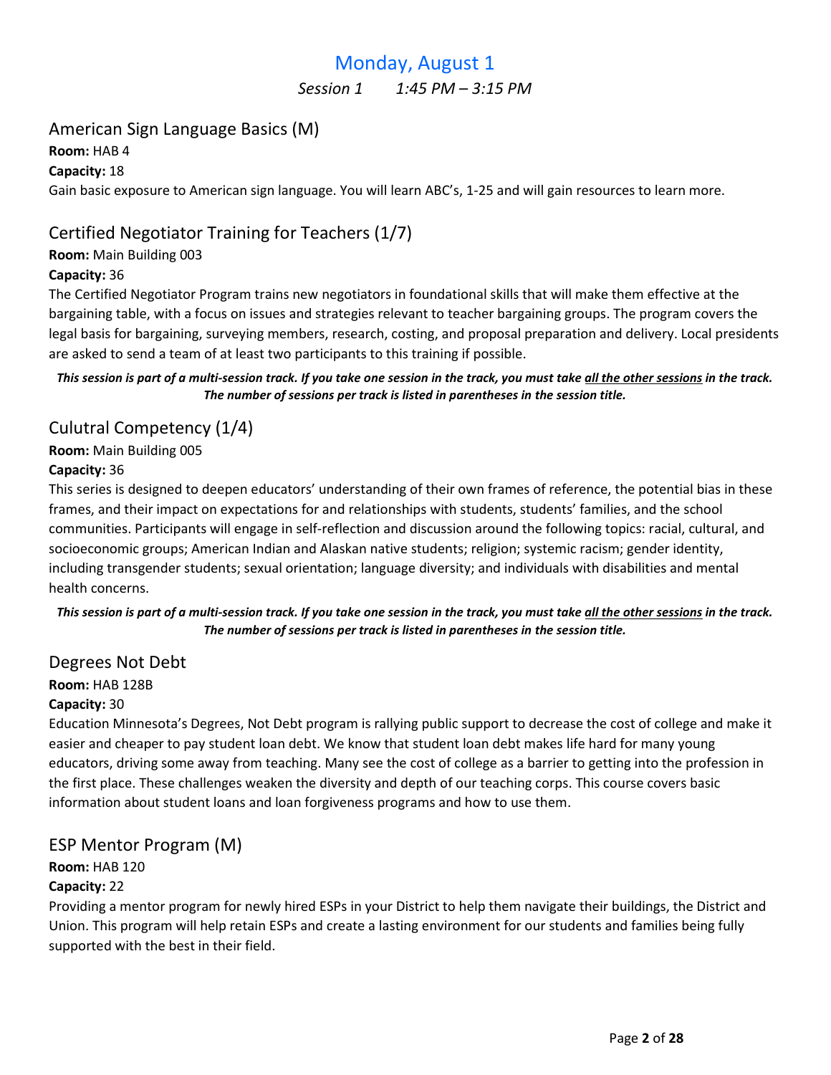# Monday, August 1

Session 1 1:45 PM - 3:15 PM

# <span id="page-1-0"></span>American Sign Language Basics (M)

Room: HAB 4

Capacity: 18

Gain basic exposure to American sign language. You will learn ABC's, 1-25 and will gain resources to learn more.

# Certified Negotiator Training for Teachers (1/7)

#### Room: Main Building 003

#### Capacity: 36

The Certified Negotiator Program trains new negotiators in foundational skills that will make them effective at the bargaining table, with a focus on issues and strategies relevant to teacher bargaining groups. The program covers the legal basis for bargaining, surveying members, research, costing, and proposal preparation and delivery. Local presidents are asked to send a team of at least two participants to this training if possible.

This session is part of a multi-session track. If you take one session in the track, you must take all the other sessions in the track. The number of sessions per track is listed in parentheses in the session title.

# Culutral Competency (1/4)

Room: Main Building 005

#### Capacity: 36

This series is designed to deepen educators' understanding of their own frames of reference, the potential bias in these frames, and their impact on expectations for and relationships with students, students' families, and the school communities. Participants will engage in self-reflection and discussion around the following topics: racial, cultural, and socioeconomic groups; American Indian and Alaskan native students; religion; systemic racism; gender identity, including transgender students; sexual orientation; language diversity; and individuals with disabilities and mental health concerns.

This session is part of a multi-session track. If you take one session in the track, you must take all the other sessions in the track. The number of sessions per track is listed in parentheses in the session title.

## Degrees Not Debt

Room: HAB 128B

#### Capacity: 30

Education Minnesota's Degrees, Not Debt program is rallying public support to decrease the cost of college and make it easier and cheaper to pay student loan debt. We know that student loan debt makes life hard for many young educators, driving some away from teaching. Many see the cost of college as a barrier to getting into the profession in the first place. These challenges weaken the diversity and depth of our teaching corps. This course covers basic information about student loans and loan forgiveness programs and how to use them.

## ESP Mentor Program (M)

## Room: HAB 120

## Capacity: 22

Providing a mentor program for newly hired ESPs in your District to help them navigate their buildings, the District and Union. This program will help retain ESPs and create a lasting environment for our students and families being fully supported with the best in their field.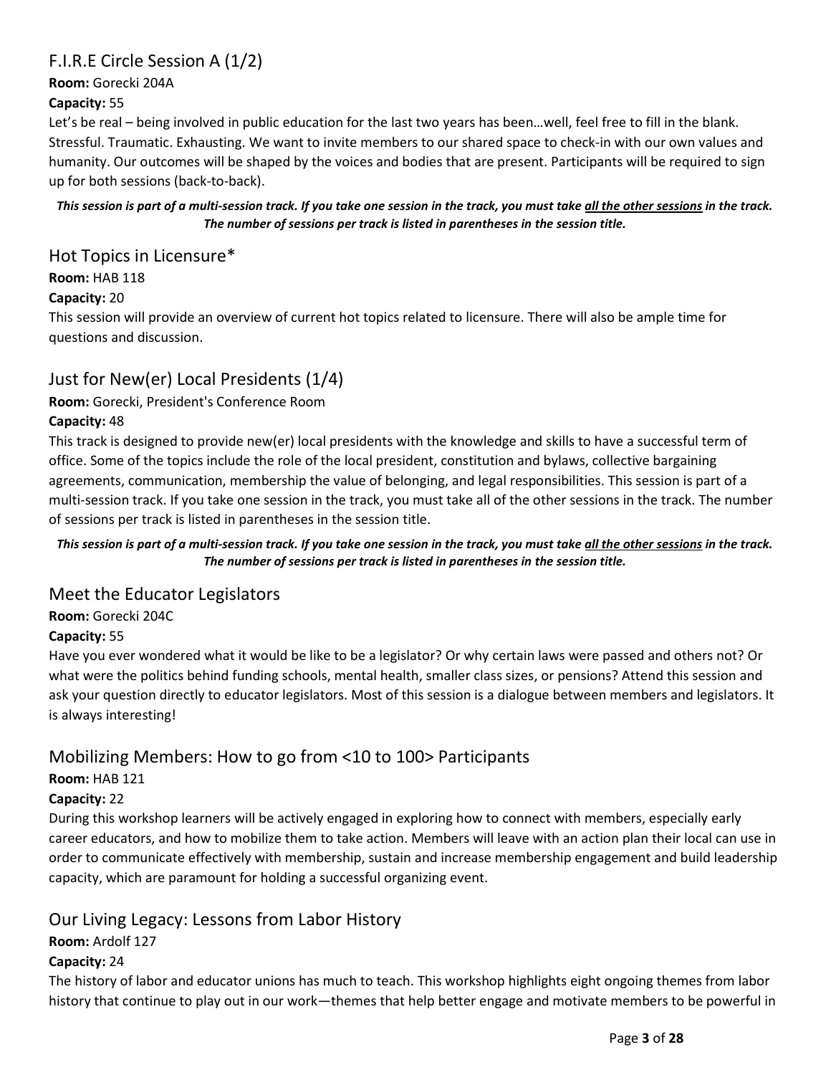# F.I.R.E Circle Session A (1/2)

Room: Gorecki 204A

## Capacity: 55

Let's be real – being involved in public education for the last two years has been…well, feel free to fill in the blank. Stressful. Traumatic. Exhausting. We want to invite members to our shared space to check-in with our own values and humanity. Our outcomes will be shaped by the voices and bodies that are present. Participants will be required to sign up for both sessions (back-to-back).

This session is part of a multi-session track. If you take one session in the track, you must take all the other sessions in the track. The number of sessions per track is listed in parentheses in the session title.

## Hot Topics in Licensure\*

Room: HAB 118

## Capacity: 20

This session will provide an overview of current hot topics related to licensure. There will also be ample time for questions and discussion.

# Just for New(er) Local Presidents (1/4)

## Room: Gorecki, President's Conference Room

## Capacity: 48

This track is designed to provide new(er) local presidents with the knowledge and skills to have a successful term of office. Some of the topics include the role of the local president, constitution and bylaws, collective bargaining agreements, communication, membership the value of belonging, and legal responsibilities. This session is part of a multi-session track. If you take one session in the track, you must take all of the other sessions in the track. The number of sessions per track is listed in parentheses in the session title.

#### This session is part of a multi-session track. If you take one session in the track, you must take all the other sessions in the track. The number of sessions per track is listed in parentheses in the session title.

## Meet the Educator Legislators

Room: Gorecki 204C

## Capacity: 55

Have you ever wondered what it would be like to be a legislator? Or why certain laws were passed and others not? Or what were the politics behind funding schools, mental health, smaller class sizes, or pensions? Attend this session and ask your question directly to educator legislators. Most of this session is a dialogue between members and legislators. It is always interesting!

# Mobilizing Members: How to go from <10 to 100> Participants

# Room: HAB 121

## Capacity: 22

During this workshop learners will be actively engaged in exploring how to connect with members, especially early career educators, and how to mobilize them to take action. Members will leave with an action plan their local can use in order to communicate effectively with membership, sustain and increase membership engagement and build leadership capacity, which are paramount for holding a successful organizing event.

# Our Living Legacy: Lessons from Labor History

## Room: Ardolf 127

## Capacity: 24

The history of labor and educator unions has much to teach. This workshop highlights eight ongoing themes from labor history that continue to play out in our work—themes that help better engage and motivate members to be powerful in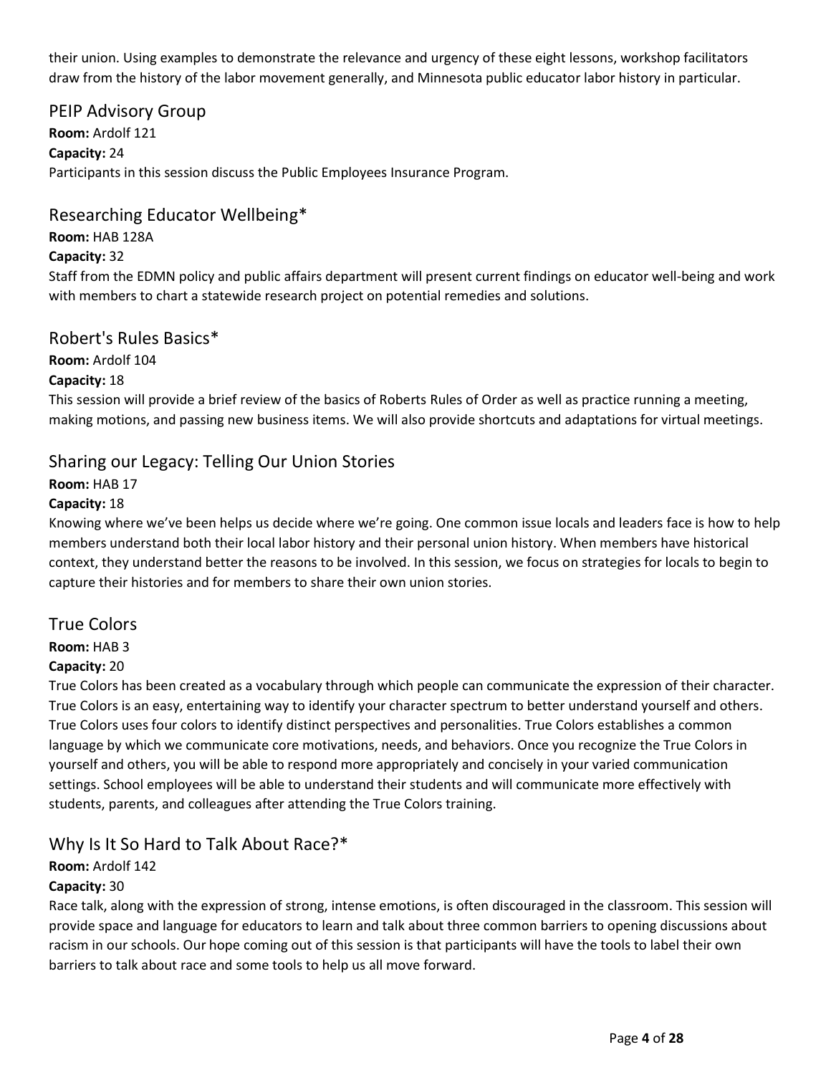their union. Using examples to demonstrate the relevance and urgency of these eight lessons, workshop facilitators draw from the history of the labor movement generally, and Minnesota public educator labor history in particular.

## PEIP Advisory Group

Room: Ardolf 121 Capacity: 24 Participants in this session discuss the Public Employees Insurance Program.

## Researching Educator Wellbeing\*

Room: HAB 128A

#### Capacity: 32

Staff from the EDMN policy and public affairs department will present current findings on educator well-being and work with members to chart a statewide research project on potential remedies and solutions.

## Robert's Rules Basics\*

Room: Ardolf 104

## Capacity: 18

This session will provide a brief review of the basics of Roberts Rules of Order as well as practice running a meeting, making motions, and passing new business items. We will also provide shortcuts and adaptations for virtual meetings.

## Sharing our Legacy: Telling Our Union Stories

Room: HAB 17

## Capacity: 18

Knowing where we've been helps us decide where we're going. One common issue locals and leaders face is how to help members understand both their local labor history and their personal union history. When members have historical context, they understand better the reasons to be involved. In this session, we focus on strategies for locals to begin to capture their histories and for members to share their own union stories.

## True Colors

Room: HAB 3

## Capacity: 20

True Colors has been created as a vocabulary through which people can communicate the expression of their character. True Colors is an easy, entertaining way to identify your character spectrum to better understand yourself and others. True Colors uses four colors to identify distinct perspectives and personalities. True Colors establishes a common language by which we communicate core motivations, needs, and behaviors. Once you recognize the True Colors in yourself and others, you will be able to respond more appropriately and concisely in your varied communication settings. School employees will be able to understand their students and will communicate more effectively with students, parents, and colleagues after attending the True Colors training.

## Why Is It So Hard to Talk About Race?\*

Room: Ardolf 142

## Capacity: 30

Race talk, along with the expression of strong, intense emotions, is often discouraged in the classroom. This session will provide space and language for educators to learn and talk about three common barriers to opening discussions about racism in our schools. Our hope coming out of this session is that participants will have the tools to label their own barriers to talk about race and some tools to help us all move forward.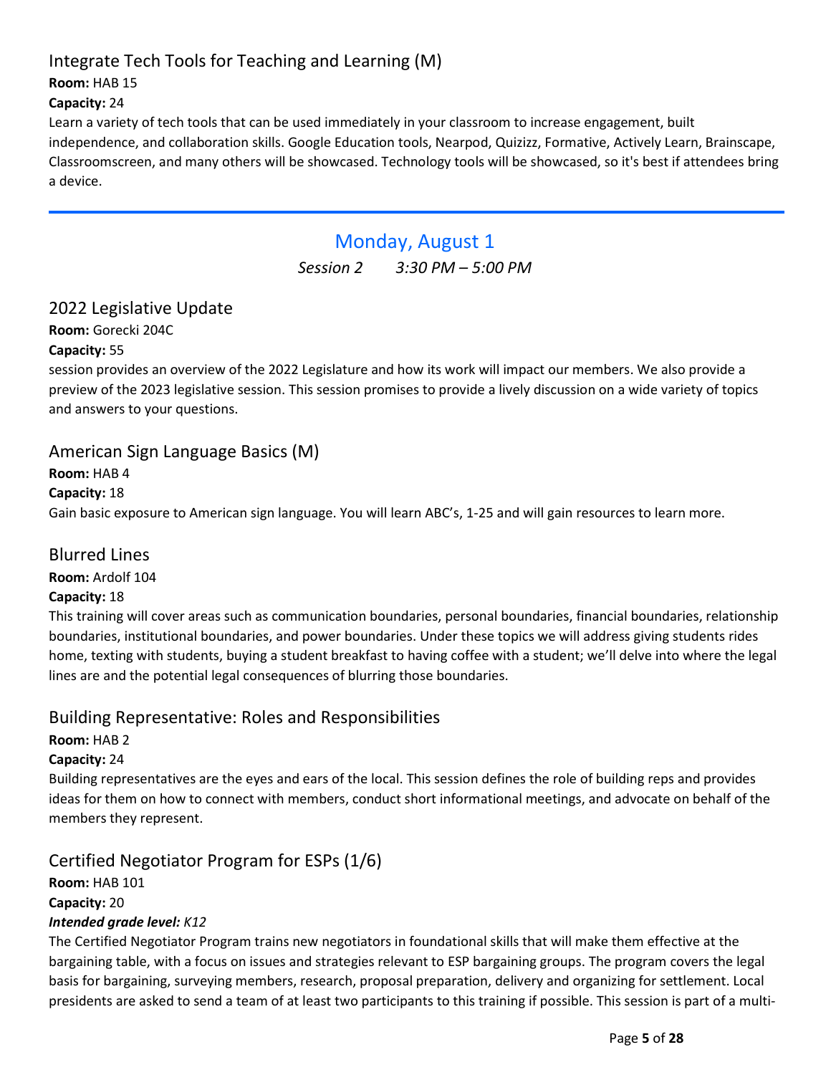# <span id="page-4-0"></span>Integrate Tech Tools for Teaching and Learning (M)

## Room: HAB 15

## Capacity: 24

Learn a variety of tech tools that can be used immediately in your classroom to increase engagement, built independence, and collaboration skills. Google Education tools, Nearpod, Quizizz, Formative, Actively Learn, Brainscape, Classroomscreen, and many others will be showcased. Technology tools will be showcased, so it's best if attendees bring a device.

# Monday, August 1

Session 2 3:30 PM – 5:00 PM

# 2022 Legislative Update

Room: Gorecki 204C

## Capacity: 55

session provides an overview of the 2022 Legislature and how its work will impact our members. We also provide a preview of the 2023 legislative session. This session promises to provide a lively discussion on a wide variety of topics and answers to your questions.

## American Sign Language Basics (M)

## Room: HAB 4

#### Capacity: 18

Gain basic exposure to American sign language. You will learn ABC's, 1-25 and will gain resources to learn more.

## Blurred Lines

Room: Ardolf 104

## Capacity: 18

This training will cover areas such as communication boundaries, personal boundaries, financial boundaries, relationship boundaries, institutional boundaries, and power boundaries. Under these topics we will address giving students rides home, texting with students, buying a student breakfast to having coffee with a student; we'll delve into where the legal lines are and the potential legal consequences of blurring those boundaries.

## Building Representative: Roles and Responsibilities

Room: HAB 2

## Capacity: 24

Building representatives are the eyes and ears of the local. This session defines the role of building reps and provides ideas for them on how to connect with members, conduct short informational meetings, and advocate on behalf of the members they represent.

# Certified Negotiator Program for ESPs (1/6)

Room: HAB 101 Capacity: 20

## Intended grade level: K12

The Certified Negotiator Program trains new negotiators in foundational skills that will make them effective at the bargaining table, with a focus on issues and strategies relevant to ESP bargaining groups. The program covers the legal basis for bargaining, surveying members, research, proposal preparation, delivery and organizing for settlement. Local presidents are asked to send a team of at least two participants to this training if possible. This session is part of a multi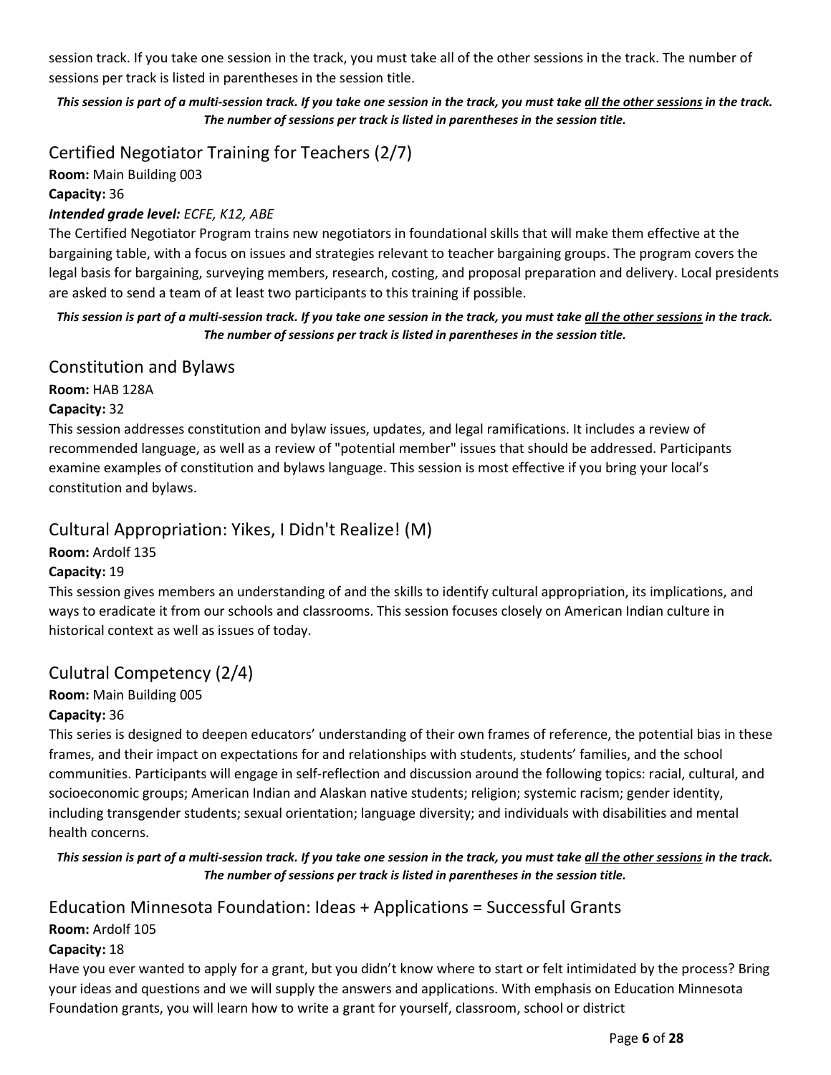session track. If you take one session in the track, you must take all of the other sessions in the track. The number of sessions per track is listed in parentheses in the session title.

This session is part of a multi-session track. If you take one session in the track, you must take all the other sessions in the track. The number of sessions per track is listed in parentheses in the session title.

Certified Negotiator Training for Teachers (2/7)

Room: Main Building 003

Capacity: 36

Intended grade level: ECFE, K12, ABE

The Certified Negotiator Program trains new negotiators in foundational skills that will make them effective at the bargaining table, with a focus on issues and strategies relevant to teacher bargaining groups. The program covers the legal basis for bargaining, surveying members, research, costing, and proposal preparation and delivery. Local presidents are asked to send a team of at least two participants to this training if possible.

#### This session is part of a multi-session track. If you take one session in the track, you must take all the other sessions in the track. The number of sessions per track is listed in parentheses in the session title.

## Constitution and Bylaws

Room: HAB 128A

## Capacity: 32

This session addresses constitution and bylaw issues, updates, and legal ramifications. It includes a review of recommended language, as well as a review of "potential member" issues that should be addressed. Participants examine examples of constitution and bylaws language. This session is most effective if you bring your local's constitution and bylaws.

# Cultural Appropriation: Yikes, I Didn't Realize! (M)

Room: Ardolf 135

## Capacity: 19

This session gives members an understanding of and the skills to identify cultural appropriation, its implications, and ways to eradicate it from our schools and classrooms. This session focuses closely on American Indian culture in historical context as well as issues of today.

# Culutral Competency (2/4)

Room: Main Building 005

## Capacity: 36

This series is designed to deepen educators' understanding of their own frames of reference, the potential bias in these frames, and their impact on expectations for and relationships with students, students' families, and the school communities. Participants will engage in self-reflection and discussion around the following topics: racial, cultural, and socioeconomic groups; American Indian and Alaskan native students; religion; systemic racism; gender identity, including transgender students; sexual orientation; language diversity; and individuals with disabilities and mental health concerns.

This session is part of a multi-session track. If you take one session in the track, you must take all the other sessions in the track. The number of sessions per track is listed in parentheses in the session title.

# Education Minnesota Foundation: Ideas + Applications = Successful Grants

## Room: Ardolf 105

## Capacity: 18

Have you ever wanted to apply for a grant, but you didn't know where to start or felt intimidated by the process? Bring your ideas and questions and we will supply the answers and applications. With emphasis on Education Minnesota Foundation grants, you will learn how to write a grant for yourself, classroom, school or district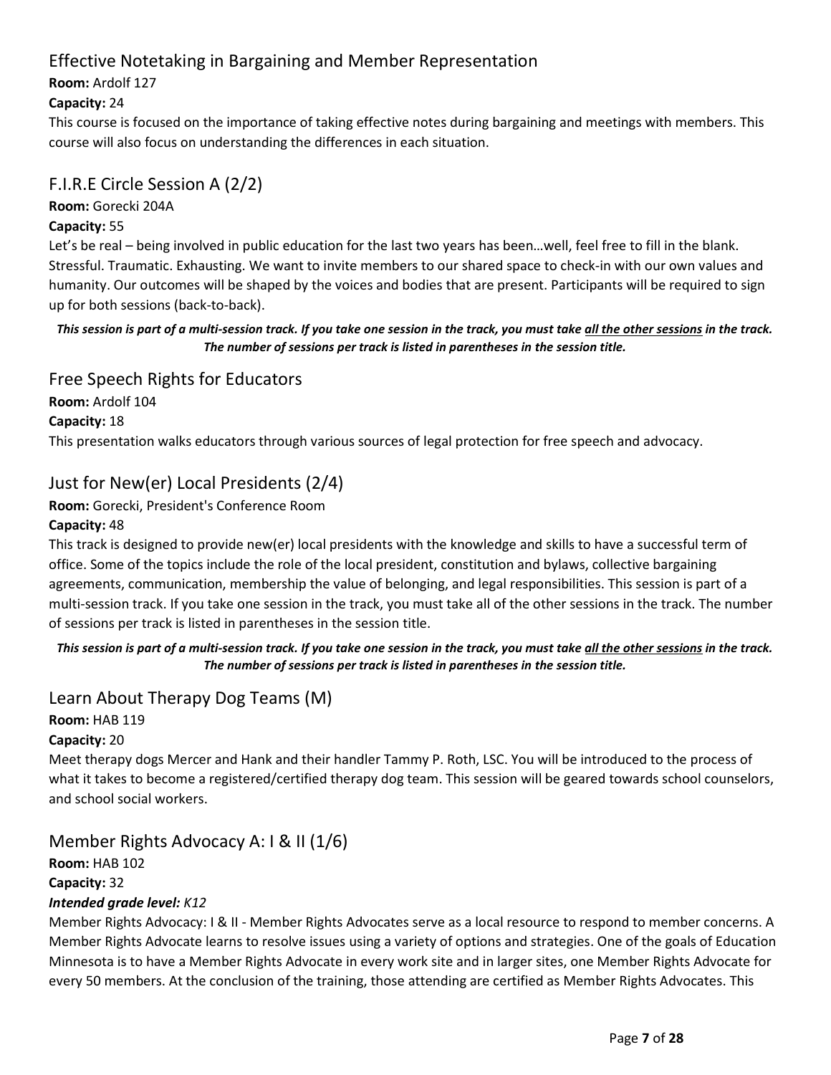# Effective Notetaking in Bargaining and Member Representation

Room: Ardolf 127

## Capacity: 24

This course is focused on the importance of taking effective notes during bargaining and meetings with members. This course will also focus on understanding the differences in each situation.

# F.I.R.E Circle Session A (2/2)

Room: Gorecki 204A

## Capacity: 55

Let's be real – being involved in public education for the last two years has been…well, feel free to fill in the blank. Stressful. Traumatic. Exhausting. We want to invite members to our shared space to check-in with our own values and humanity. Our outcomes will be shaped by the voices and bodies that are present. Participants will be required to sign up for both sessions (back-to-back).

## This session is part of a multi-session track. If you take one session in the track, you must take all the other sessions in the track. The number of sessions per track is listed in parentheses in the session title.

Free Speech Rights for Educators Room: Ardolf 104 Capacity: 18 This presentation walks educators through various sources of legal protection for free speech and advocacy.

# Just for New(er) Local Presidents (2/4)

Room: Gorecki, President's Conference Room Capacity: 48

This track is designed to provide new(er) local presidents with the knowledge and skills to have a successful term of office. Some of the topics include the role of the local president, constitution and bylaws, collective bargaining agreements, communication, membership the value of belonging, and legal responsibilities. This session is part of a multi-session track. If you take one session in the track, you must take all of the other sessions in the track. The number of sessions per track is listed in parentheses in the session title.

This session is part of a multi-session track. If you take one session in the track, you must take all the other sessions in the track. The number of sessions per track is listed in parentheses in the session title.

# Learn About Therapy Dog Teams (M)

Room: HAB 119

Capacity: 20

Meet therapy dogs Mercer and Hank and their handler Tammy P. Roth, LSC. You will be introduced to the process of what it takes to become a registered/certified therapy dog team. This session will be geared towards school counselors, and school social workers.

Member Rights Advocacy A: I & II (1/6)

Room: HAB 102 Capacity: 32

## Intended grade level: K12

Member Rights Advocacy: I & II - Member Rights Advocates serve as a local resource to respond to member concerns. A Member Rights Advocate learns to resolve issues using a variety of options and strategies. One of the goals of Education Minnesota is to have a Member Rights Advocate in every work site and in larger sites, one Member Rights Advocate for every 50 members. At the conclusion of the training, those attending are certified as Member Rights Advocates. This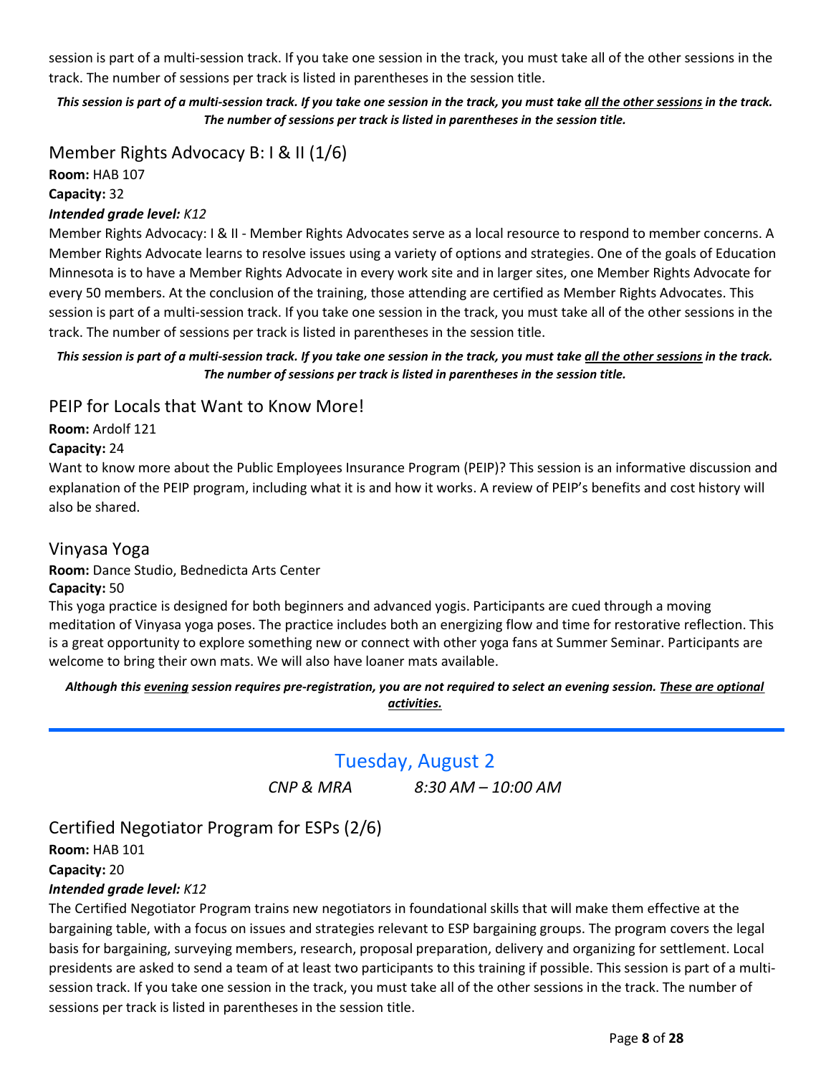<span id="page-7-0"></span>session is part of a multi-session track. If you take one session in the track, you must take all of the other sessions in the track. The number of sessions per track is listed in parentheses in the session title.

This session is part of a multi-session track. If you take one session in the track, you must take all the other sessions in the track. The number of sessions per track is listed in parentheses in the session title.

Member Rights Advocacy B: I & II (1/6) Room: HAB 107

Capacity: 32

#### Intended grade level: K12

Member Rights Advocacy: I & II - Member Rights Advocates serve as a local resource to respond to member concerns. A Member Rights Advocate learns to resolve issues using a variety of options and strategies. One of the goals of Education Minnesota is to have a Member Rights Advocate in every work site and in larger sites, one Member Rights Advocate for every 50 members. At the conclusion of the training, those attending are certified as Member Rights Advocates. This session is part of a multi-session track. If you take one session in the track, you must take all of the other sessions in the track. The number of sessions per track is listed in parentheses in the session title.

This session is part of a multi-session track. If you take one session in the track, you must take all the other sessions in the track. The number of sessions per track is listed in parentheses in the session title.

## PEIP for Locals that Want to Know More!

Room: Ardolf 121

#### Capacity: 24

Want to know more about the Public Employees Insurance Program (PEIP)? This session is an informative discussion and explanation of the PEIP program, including what it is and how it works. A review of PEIP's benefits and cost history will also be shared.

## Vinyasa Yoga

#### Room: Dance Studio, Bednedicta Arts Center

#### Capacity: 50

This yoga practice is designed for both beginners and advanced yogis. Participants are cued through a moving meditation of Vinyasa yoga poses. The practice includes both an energizing flow and time for restorative reflection. This is a great opportunity to explore something new or connect with other yoga fans at Summer Seminar. Participants are welcome to bring their own mats. We will also have loaner mats available.

Although this evening session requires pre-registration, you are not required to select an evening session. These are optional activities.

Tuesday, August 2

CNP & MRA 8:30 AM – 10:00 AM

# Certified Negotiator Program for ESPs (2/6)

Room: HAB 101 Capacity: 20

## Intended grade level: K12

The Certified Negotiator Program trains new negotiators in foundational skills that will make them effective at the bargaining table, with a focus on issues and strategies relevant to ESP bargaining groups. The program covers the legal basis for bargaining, surveying members, research, proposal preparation, delivery and organizing for settlement. Local presidents are asked to send a team of at least two participants to this training if possible. This session is part of a multisession track. If you take one session in the track, you must take all of the other sessions in the track. The number of sessions per track is listed in parentheses in the session title.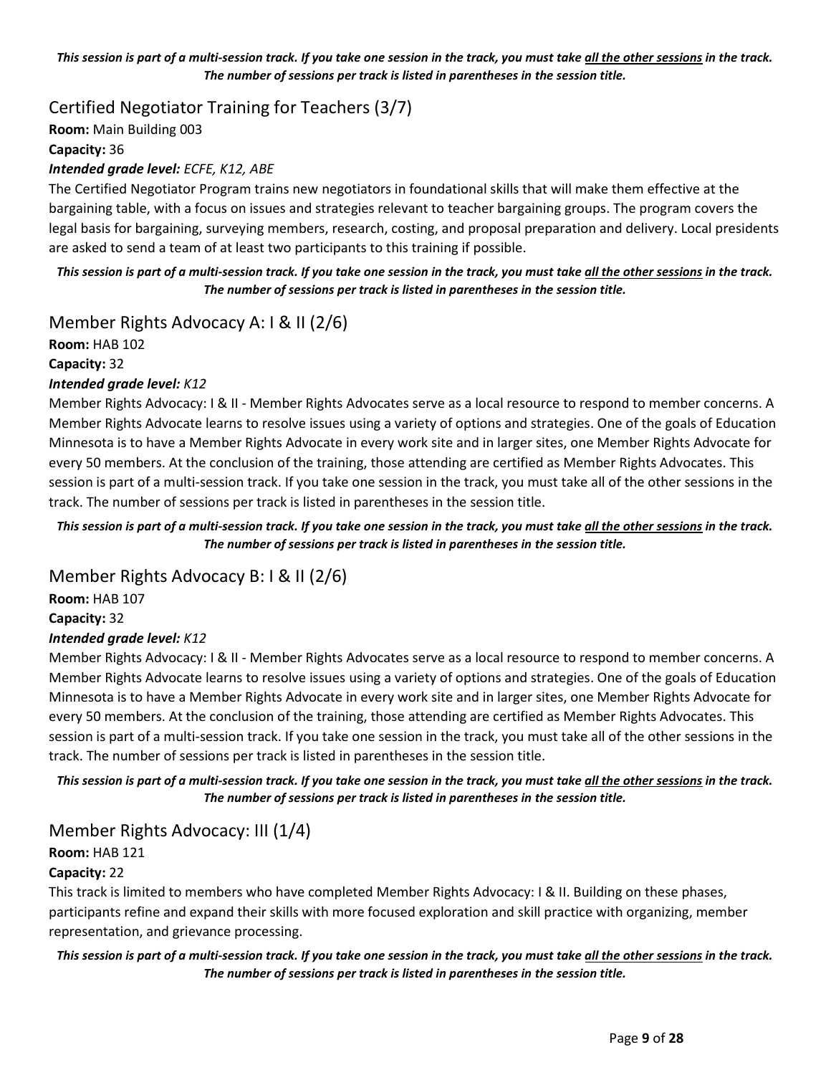#### This session is part of a multi-session track. If you take one session in the track, you must take all the other sessions in the track. The number of sessions per track is listed in parentheses in the session title.

Certified Negotiator Training for Teachers (3/7)

Room: Main Building 003 Capacity: 36 Intended grade level: ECFE, K12, ABE

The Certified Negotiator Program trains new negotiators in foundational skills that will make them effective at the bargaining table, with a focus on issues and strategies relevant to teacher bargaining groups. The program covers the legal basis for bargaining, surveying members, research, costing, and proposal preparation and delivery. Local presidents are asked to send a team of at least two participants to this training if possible.

This session is part of a multi-session track. If you take one session in the track, you must take all the other sessions in the track. The number of sessions per track is listed in parentheses in the session title.

Member Rights Advocacy A: I & II (2/6)

Room: HAB 102

Capacity: 32

## Intended grade level: K12

Member Rights Advocacy: I & II - Member Rights Advocates serve as a local resource to respond to member concerns. A Member Rights Advocate learns to resolve issues using a variety of options and strategies. One of the goals of Education Minnesota is to have a Member Rights Advocate in every work site and in larger sites, one Member Rights Advocate for every 50 members. At the conclusion of the training, those attending are certified as Member Rights Advocates. This session is part of a multi-session track. If you take one session in the track, you must take all of the other sessions in the track. The number of sessions per track is listed in parentheses in the session title.

This session is part of a multi-session track. If you take one session in the track, you must take all the other sessions in the track. The number of sessions per track is listed in parentheses in the session title.

Member Rights Advocacy B: I & II (2/6)

Room: HAB 107 Capacity: 32

## Intended grade level: K12

Member Rights Advocacy: I & II - Member Rights Advocates serve as a local resource to respond to member concerns. A Member Rights Advocate learns to resolve issues using a variety of options and strategies. One of the goals of Education Minnesota is to have a Member Rights Advocate in every work site and in larger sites, one Member Rights Advocate for every 50 members. At the conclusion of the training, those attending are certified as Member Rights Advocates. This session is part of a multi-session track. If you take one session in the track, you must take all of the other sessions in the track. The number of sessions per track is listed in parentheses in the session title.

This session is part of a multi-session track. If you take one session in the track, you must take all the other sessions in the track. The number of sessions per track is listed in parentheses in the session title.

# Member Rights Advocacy: III (1/4)

## Room: HAB 121

#### Capacity: 22

This track is limited to members who have completed Member Rights Advocacy: I & II. Building on these phases, participants refine and expand their skills with more focused exploration and skill practice with organizing, member representation, and grievance processing.

## This session is part of a multi-session track. If you take one session in the track, you must take all the other sessions in the track. The number of sessions per track is listed in parentheses in the session title.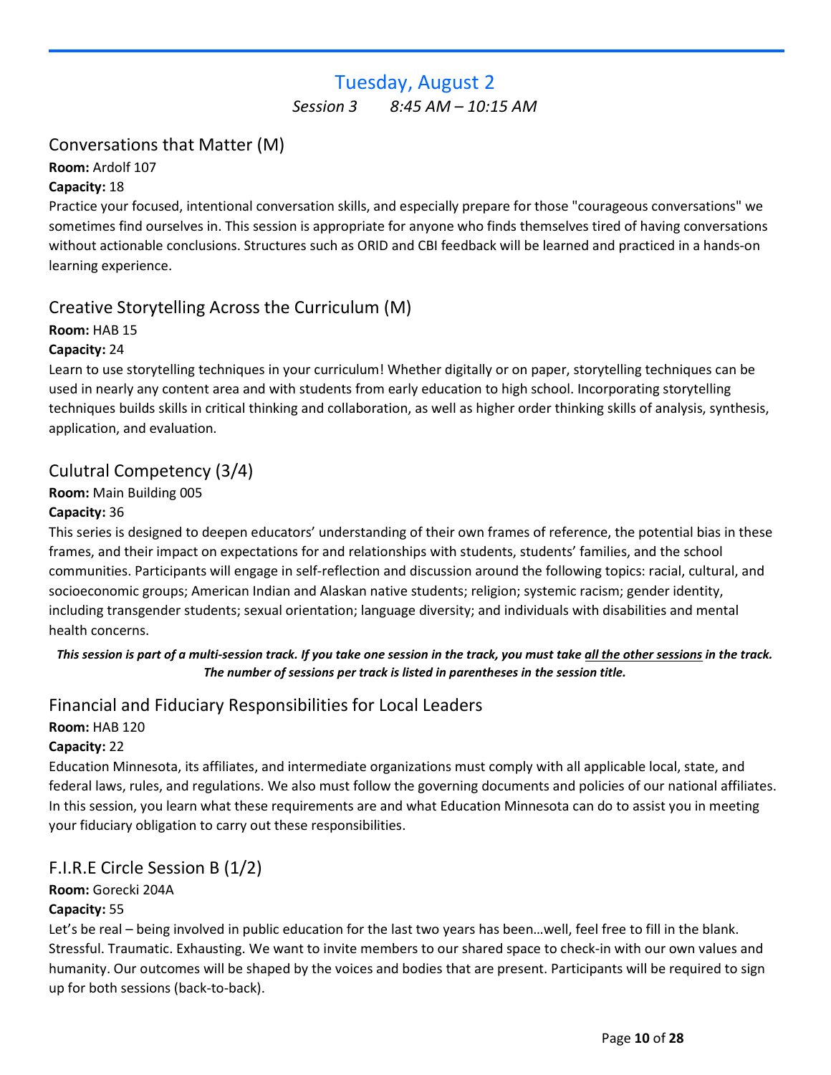# Tuesday, August 2

Session 3 8:45 AM – 10:15 AM

# <span id="page-9-0"></span>Conversations that Matter (M)

Room: Ardolf 107

## Capacity: 18

Practice your focused, intentional conversation skills, and especially prepare for those "courageous conversations" we sometimes find ourselves in. This session is appropriate for anyone who finds themselves tired of having conversations without actionable conclusions. Structures such as ORID and CBI feedback will be learned and practiced in a hands-on learning experience.

# Creative Storytelling Across the Curriculum (M)

## Room: HAB 15

## Capacity: 24

Learn to use storytelling techniques in your curriculum! Whether digitally or on paper, storytelling techniques can be used in nearly any content area and with students from early education to high school. Incorporating storytelling techniques builds skills in critical thinking and collaboration, as well as higher order thinking skills of analysis, synthesis, application, and evaluation.

# Culutral Competency (3/4)

## Room: Main Building 005

## Capacity: 36

This series is designed to deepen educators' understanding of their own frames of reference, the potential bias in these frames, and their impact on expectations for and relationships with students, students' families, and the school communities. Participants will engage in self-reflection and discussion around the following topics: racial, cultural, and socioeconomic groups; American Indian and Alaskan native students; religion; systemic racism; gender identity, including transgender students; sexual orientation; language diversity; and individuals with disabilities and mental health concerns.

## This session is part of a multi-session track. If you take one session in the track, you must take all the other sessions in the track. The number of sessions per track is listed in parentheses in the session title.

# Financial and Fiduciary Responsibilities for Local Leaders

## Room: HAB 120

## Capacity: 22

Education Minnesota, its affiliates, and intermediate organizations must comply with all applicable local, state, and federal laws, rules, and regulations. We also must follow the governing documents and policies of our national affiliates. In this session, you learn what these requirements are and what Education Minnesota can do to assist you in meeting your fiduciary obligation to carry out these responsibilities.

# F.I.R.E Circle Session B (1/2)

# Room: Gorecki 204A

## Capacity: 55

Let's be real – being involved in public education for the last two years has been…well, feel free to fill in the blank. Stressful. Traumatic. Exhausting. We want to invite members to our shared space to check-in with our own values and humanity. Our outcomes will be shaped by the voices and bodies that are present. Participants will be required to sign up for both sessions (back-to-back).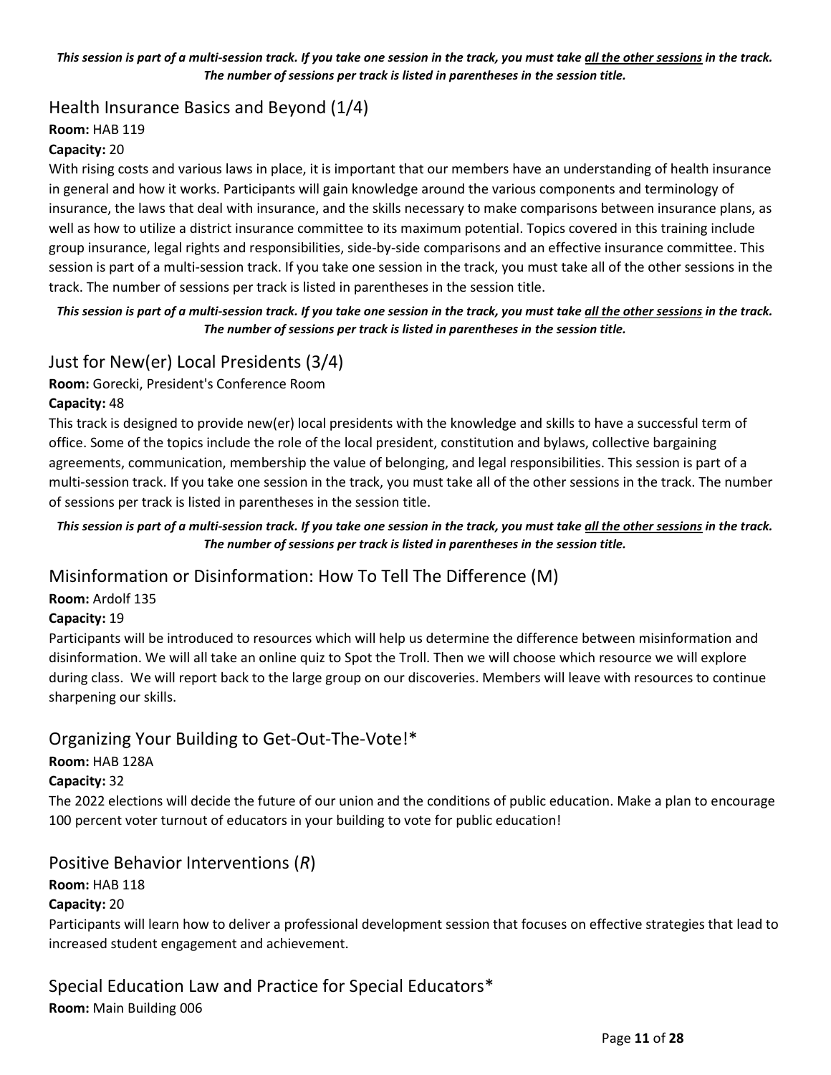#### This session is part of a multi-session track. If you take one session in the track, you must take all the other sessions in the track. The number of sessions per track is listed in parentheses in the session title.

# Health Insurance Basics and Beyond (1/4)

## Room: HAB 119

## Capacity: 20

With rising costs and various laws in place, it is important that our members have an understanding of health insurance in general and how it works. Participants will gain knowledge around the various components and terminology of insurance, the laws that deal with insurance, and the skills necessary to make comparisons between insurance plans, as well as how to utilize a district insurance committee to its maximum potential. Topics covered in this training include group insurance, legal rights and responsibilities, side-by-side comparisons and an effective insurance committee. This session is part of a multi-session track. If you take one session in the track, you must take all of the other sessions in the track. The number of sessions per track is listed in parentheses in the session title.

## This session is part of a multi-session track. If you take one session in the track, you must take all the other sessions in the track. The number of sessions per track is listed in parentheses in the session title.

# Just for New(er) Local Presidents (3/4)

Room: Gorecki, President's Conference Room

## Capacity: 48

This track is designed to provide new(er) local presidents with the knowledge and skills to have a successful term of office. Some of the topics include the role of the local president, constitution and bylaws, collective bargaining agreements, communication, membership the value of belonging, and legal responsibilities. This session is part of a multi-session track. If you take one session in the track, you must take all of the other sessions in the track. The number of sessions per track is listed in parentheses in the session title.

#### This session is part of a multi-session track. If you take one session in the track, you must take all the other sessions in the track. The number of sessions per track is listed in parentheses in the session title.

# Misinformation or Disinformation: How To Tell The Difference (M)

## Room: Ardolf 135

## Capacity: 19

Participants will be introduced to resources which will help us determine the difference between misinformation and disinformation. We will all take an online quiz to Spot the Troll. Then we will choose which resource we will explore during class. We will report back to the large group on our discoveries. Members will leave with resources to continue sharpening our skills.

# Organizing Your Building to Get-Out-The-Vote!\*

## Room: HAB 128A

## Capacity: 32

The 2022 elections will decide the future of our union and the conditions of public education. Make a plan to encourage 100 percent voter turnout of educators in your building to vote for public education!

## Positive Behavior Interventions (R)

## Room: HAB 118

## Capacity: 20

Participants will learn how to deliver a professional development session that focuses on effective strategies that lead to increased student engagement and achievement.

Special Education Law and Practice for Special Educators\* Room: Main Building 006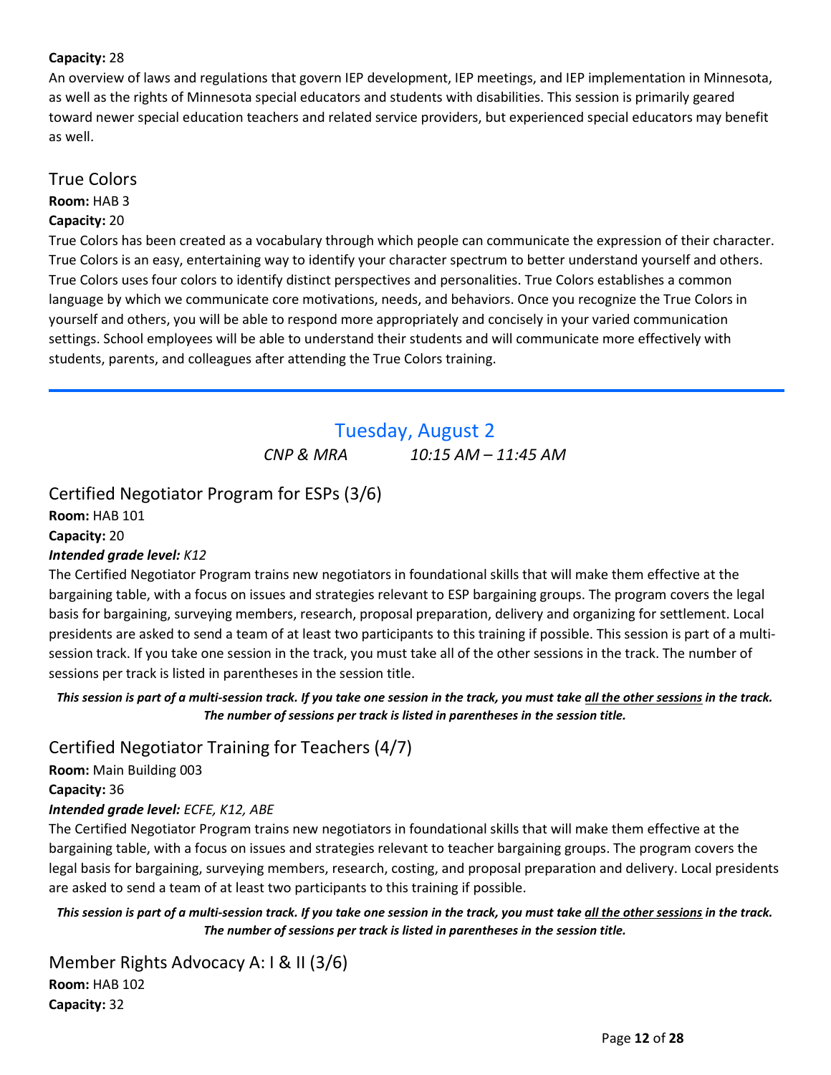## <span id="page-11-0"></span>Capacity: 28

An overview of laws and regulations that govern IEP development, IEP meetings, and IEP implementation in Minnesota, as well as the rights of Minnesota special educators and students with disabilities. This session is primarily geared toward newer special education teachers and related service providers, but experienced special educators may benefit as well.

## True Colors

Room: HAB 3

#### Capacity: 20

True Colors has been created as a vocabulary through which people can communicate the expression of their character. True Colors is an easy, entertaining way to identify your character spectrum to better understand yourself and others. True Colors uses four colors to identify distinct perspectives and personalities. True Colors establishes a common language by which we communicate core motivations, needs, and behaviors. Once you recognize the True Colors in yourself and others, you will be able to respond more appropriately and concisely in your varied communication settings. School employees will be able to understand their students and will communicate more effectively with students, parents, and colleagues after attending the True Colors training.

# Tuesday, August 2 CNP & MRA 10:15 AM – 11:45 AM

# Certified Negotiator Program for ESPs (3/6)

Room: HAB 101 Capacity: 20

## Intended grade level: K12

The Certified Negotiator Program trains new negotiators in foundational skills that will make them effective at the bargaining table, with a focus on issues and strategies relevant to ESP bargaining groups. The program covers the legal basis for bargaining, surveying members, research, proposal preparation, delivery and organizing for settlement. Local presidents are asked to send a team of at least two participants to this training if possible. This session is part of a multisession track. If you take one session in the track, you must take all of the other sessions in the track. The number of sessions per track is listed in parentheses in the session title.

This session is part of a multi-session track. If you take one session in the track, you must take all the other sessions in the track. The number of sessions per track is listed in parentheses in the session title.

## Certified Negotiator Training for Teachers (4/7)

Room: Main Building 003 Capacity: 36

## Intended grade level: ECFE, K12, ABE

The Certified Negotiator Program trains new negotiators in foundational skills that will make them effective at the bargaining table, with a focus on issues and strategies relevant to teacher bargaining groups. The program covers the legal basis for bargaining, surveying members, research, costing, and proposal preparation and delivery. Local presidents are asked to send a team of at least two participants to this training if possible.

This session is part of a multi-session track. If you take one session in the track, you must take all the other sessions in the track. The number of sessions per track is listed in parentheses in the session title.

Member Rights Advocacy A: I & II (3/6) Room: HAB 102 Capacity: 32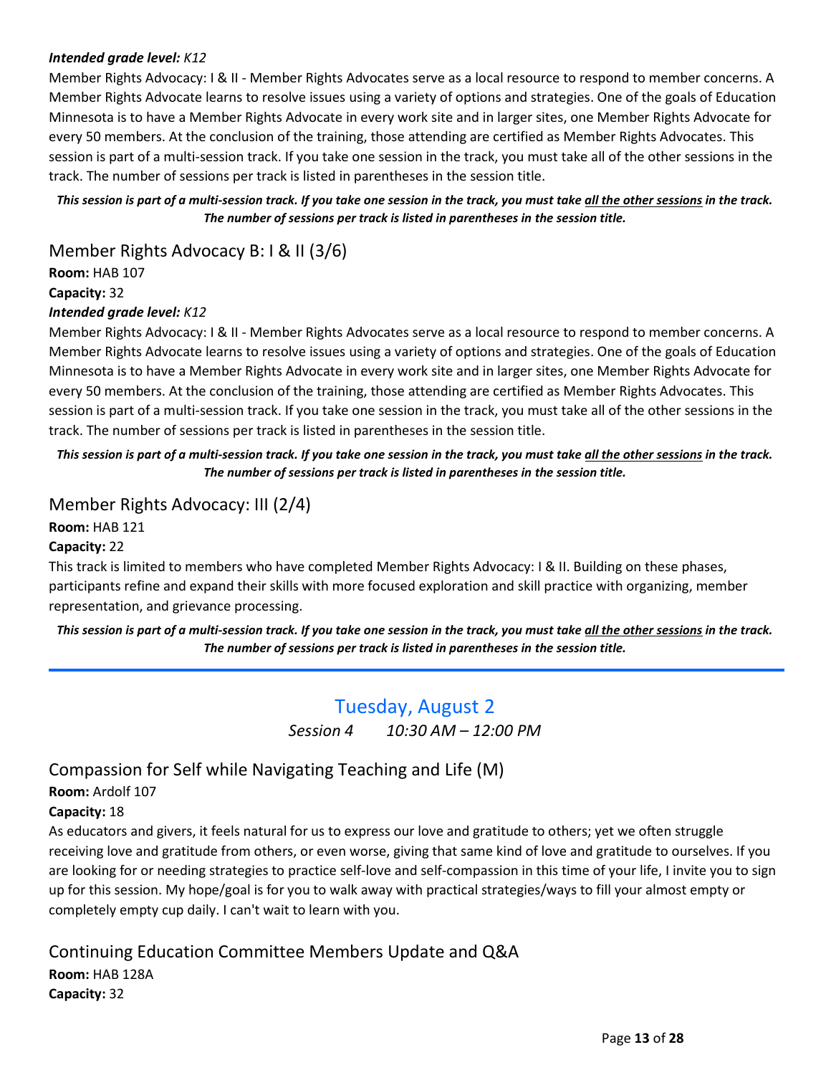## <span id="page-12-0"></span>Intended grade level: K12

Member Rights Advocacy: I & II - Member Rights Advocates serve as a local resource to respond to member concerns. A Member Rights Advocate learns to resolve issues using a variety of options and strategies. One of the goals of Education Minnesota is to have a Member Rights Advocate in every work site and in larger sites, one Member Rights Advocate for every 50 members. At the conclusion of the training, those attending are certified as Member Rights Advocates. This session is part of a multi-session track. If you take one session in the track, you must take all of the other sessions in the track. The number of sessions per track is listed in parentheses in the session title.

This session is part of a multi-session track. If you take one session in the track, you must take all the other sessions in the track. The number of sessions per track is listed in parentheses in the session title.

Member Rights Advocacy B: I & II (3/6)

Room: HAB 107

Capacity: 32

#### Intended grade level: K12

Member Rights Advocacy: I & II - Member Rights Advocates serve as a local resource to respond to member concerns. A Member Rights Advocate learns to resolve issues using a variety of options and strategies. One of the goals of Education Minnesota is to have a Member Rights Advocate in every work site and in larger sites, one Member Rights Advocate for every 50 members. At the conclusion of the training, those attending are certified as Member Rights Advocates. This session is part of a multi-session track. If you take one session in the track, you must take all of the other sessions in the track. The number of sessions per track is listed in parentheses in the session title.

This session is part of a multi-session track. If you take one session in the track, you must take all the other sessions in the track. The number of sessions per track is listed in parentheses in the session title.

## Member Rights Advocacy: III (2/4)

Room: HAB 121

#### Capacity: 22

This track is limited to members who have completed Member Rights Advocacy: I & II. Building on these phases, participants refine and expand their skills with more focused exploration and skill practice with organizing, member representation, and grievance processing.

This session is part of a multi-session track. If you take one session in the track, you must take all the other sessions in the track. The number of sessions per track is listed in parentheses in the session title.

# Tuesday, August 2

Session 4 10:30 AM - 12:00 PM

# Compassion for Self while Navigating Teaching and Life (M)

Room: Ardolf 107

#### Capacity: 18

As educators and givers, it feels natural for us to express our love and gratitude to others; yet we often struggle receiving love and gratitude from others, or even worse, giving that same kind of love and gratitude to ourselves. If you are looking for or needing strategies to practice self-love and self-compassion in this time of your life, I invite you to sign up for this session. My hope/goal is for you to walk away with practical strategies/ways to fill your almost empty or completely empty cup daily. I can't wait to learn with you.

# Continuing Education Committee Members Update and Q&A

Room: HAB 128A

Capacity: 32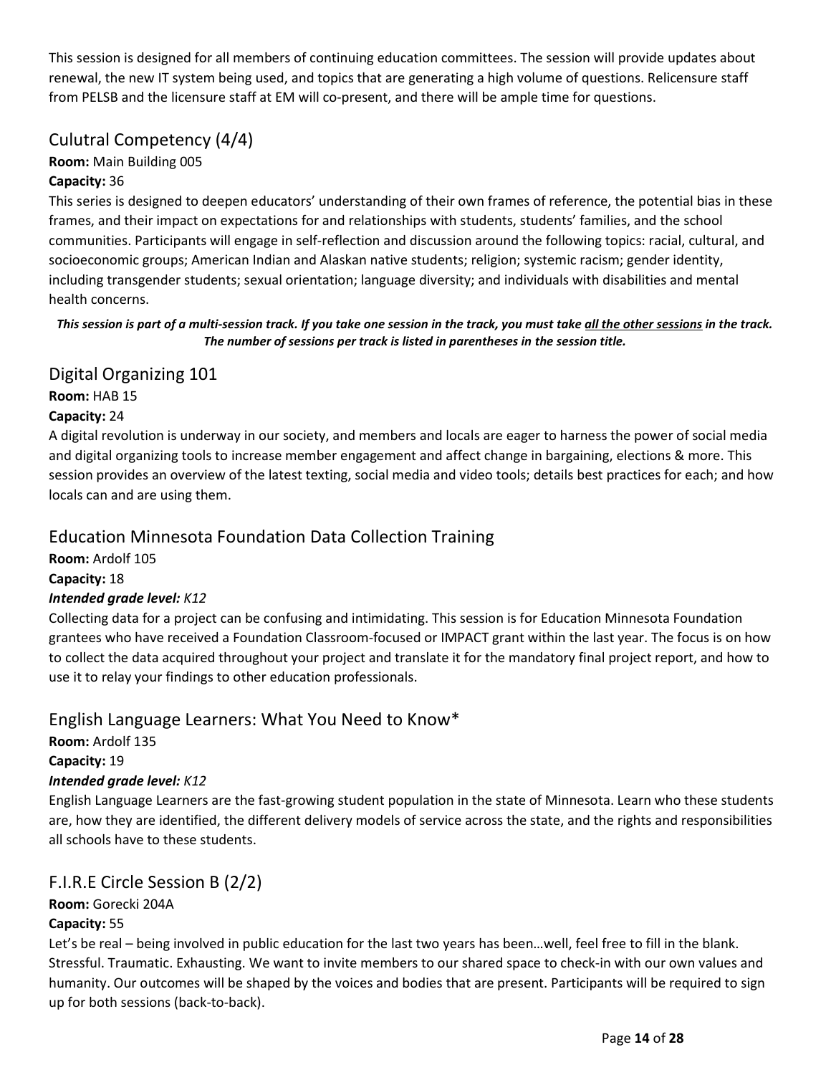This session is designed for all members of continuing education committees. The session will provide updates about renewal, the new IT system being used, and topics that are generating a high volume of questions. Relicensure staff from PELSB and the licensure staff at EM will co-present, and there will be ample time for questions.

# Culutral Competency (4/4)

## Room: Main Building 005

## Capacity: 36

This series is designed to deepen educators' understanding of their own frames of reference, the potential bias in these frames, and their impact on expectations for and relationships with students, students' families, and the school communities. Participants will engage in self-reflection and discussion around the following topics: racial, cultural, and socioeconomic groups; American Indian and Alaskan native students; religion; systemic racism; gender identity, including transgender students; sexual orientation; language diversity; and individuals with disabilities and mental health concerns.

## This session is part of a multi-session track. If you take one session in the track, you must take all the other sessions in the track. The number of sessions per track is listed in parentheses in the session title.

# Digital Organizing 101

Room: HAB 15 Capacity: 24

A digital revolution is underway in our society, and members and locals are eager to harness the power of social media and digital organizing tools to increase member engagement and affect change in bargaining, elections & more. This session provides an overview of the latest texting, social media and video tools; details best practices for each; and how locals can and are using them.

# Education Minnesota Foundation Data Collection Training

Room: Ardolf 105 Capacity: 18 Intended grade level: K12

Collecting data for a project can be confusing and intimidating. This session is for Education Minnesota Foundation grantees who have received a Foundation Classroom-focused or IMPACT grant within the last year. The focus is on how to collect the data acquired throughout your project and translate it for the mandatory final project report, and how to use it to relay your findings to other education professionals.

# English Language Learners: What You Need to Know\*

Room: Ardolf 135 Capacity: 19 Intended grade level: K12

English Language Learners are the fast-growing student population in the state of Minnesota. Learn who these students are, how they are identified, the different delivery models of service across the state, and the rights and responsibilities all schools have to these students.

# F.I.R.E Circle Session B (2/2)

Room: Gorecki 204A

## Capacity: 55

Let's be real – being involved in public education for the last two years has been…well, feel free to fill in the blank. Stressful. Traumatic. Exhausting. We want to invite members to our shared space to check-in with our own values and humanity. Our outcomes will be shaped by the voices and bodies that are present. Participants will be required to sign up for both sessions (back-to-back).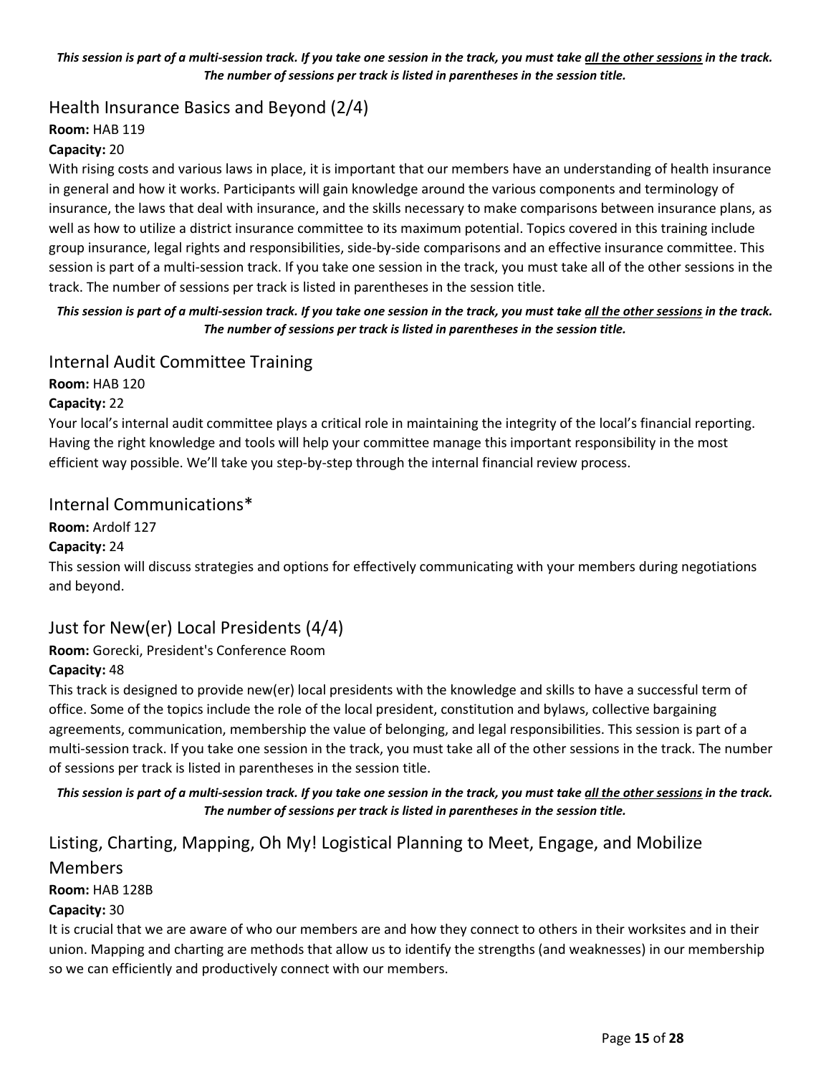#### This session is part of a multi-session track. If you take one session in the track, you must take all the other sessions in the track. The number of sessions per track is listed in parentheses in the session title.

# Health Insurance Basics and Beyond (2/4)

#### Room: HAB 119

#### Capacity: 20

With rising costs and various laws in place, it is important that our members have an understanding of health insurance in general and how it works. Participants will gain knowledge around the various components and terminology of insurance, the laws that deal with insurance, and the skills necessary to make comparisons between insurance plans, as well as how to utilize a district insurance committee to its maximum potential. Topics covered in this training include group insurance, legal rights and responsibilities, side-by-side comparisons and an effective insurance committee. This session is part of a multi-session track. If you take one session in the track, you must take all of the other sessions in the track. The number of sessions per track is listed in parentheses in the session title.

#### This session is part of a multi-session track. If you take one session in the track, you must take all the other sessions in the track. The number of sessions per track is listed in parentheses in the session title.

## Internal Audit Committee Training

Room: HAB 120

#### Capacity: 22

Your local's internal audit committee plays a critical role in maintaining the integrity of the local's financial reporting. Having the right knowledge and tools will help your committee manage this important responsibility in the most efficient way possible. We'll take you step-by-step through the internal financial review process.

## Internal Communications\*

Room: Ardolf 127

## Capacity: 24

This session will discuss strategies and options for effectively communicating with your members during negotiations and beyond.

## Just for New(er) Local Presidents (4/4)

## Room: Gorecki, President's Conference Room

#### Capacity: 48

This track is designed to provide new(er) local presidents with the knowledge and skills to have a successful term of office. Some of the topics include the role of the local president, constitution and bylaws, collective bargaining agreements, communication, membership the value of belonging, and legal responsibilities. This session is part of a multi-session track. If you take one session in the track, you must take all of the other sessions in the track. The number of sessions per track is listed in parentheses in the session title.

#### This session is part of a multi-session track. If you take one session in the track, you must take all the other sessions in the track. The number of sessions per track is listed in parentheses in the session title.

# Listing, Charting, Mapping, Oh My! Logistical Planning to Meet, Engage, and Mobilize Members

## Room: HAB 128B

#### Capacity: 30

It is crucial that we are aware of who our members are and how they connect to others in their worksites and in their union. Mapping and charting are methods that allow us to identify the strengths (and weaknesses) in our membership so we can efficiently and productively connect with our members.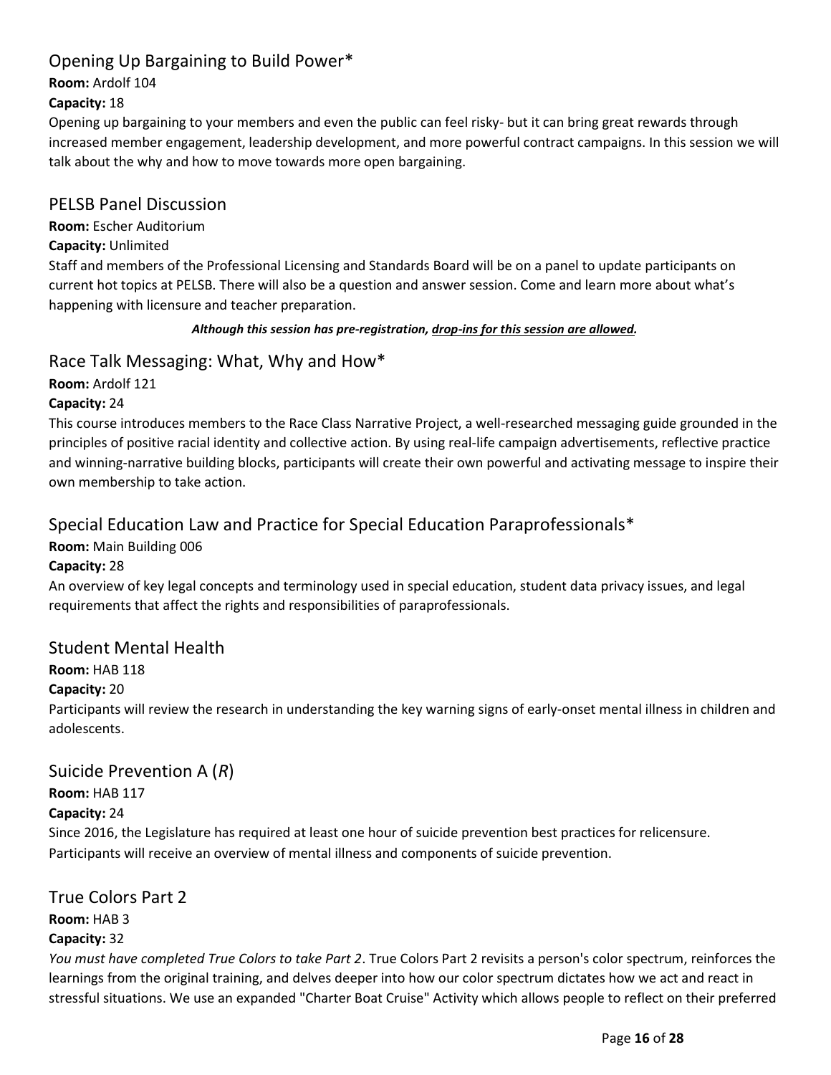# Opening Up Bargaining to Build Power\*

Room: Ardolf 104

## Capacity: 18

Opening up bargaining to your members and even the public can feel risky- but it can bring great rewards through increased member engagement, leadership development, and more powerful contract campaigns. In this session we will talk about the why and how to move towards more open bargaining.

## PELSB Panel Discussion

Room: Escher Auditorium

## Capacity: Unlimited

Staff and members of the Professional Licensing and Standards Board will be on a panel to update participants on current hot topics at PELSB. There will also be a question and answer session. Come and learn more about what's happening with licensure and teacher preparation.

## Although this session has pre-registration, drop-ins for this session are allowed.

# Race Talk Messaging: What, Why and How\*

Room: Ardolf 121

## Capacity: 24

This course introduces members to the Race Class Narrative Project, a well-researched messaging guide grounded in the principles of positive racial identity and collective action. By using real-life campaign advertisements, reflective practice and winning-narrative building blocks, participants will create their own powerful and activating message to inspire their own membership to take action.

# Special Education Law and Practice for Special Education Paraprofessionals\*

Room: Main Building 006

## Capacity: 28

An overview of key legal concepts and terminology used in special education, student data privacy issues, and legal requirements that affect the rights and responsibilities of paraprofessionals.

# Student Mental Health

# Room: HAB 118

## Capacity: 20

Participants will review the research in understanding the key warning signs of early-onset mental illness in children and adolescents.

# Suicide Prevention A (R)

Room: HAB 117

## Capacity: 24

Since 2016, the Legislature has required at least one hour of suicide prevention best practices for relicensure. Participants will receive an overview of mental illness and components of suicide prevention.

## True Colors Part 2

Room: HAB 3

## Capacity: 32

You must have completed True Colors to take Part 2. True Colors Part 2 revisits a person's color spectrum, reinforces the learnings from the original training, and delves deeper into how our color spectrum dictates how we act and react in stressful situations. We use an expanded "Charter Boat Cruise" Activity which allows people to reflect on their preferred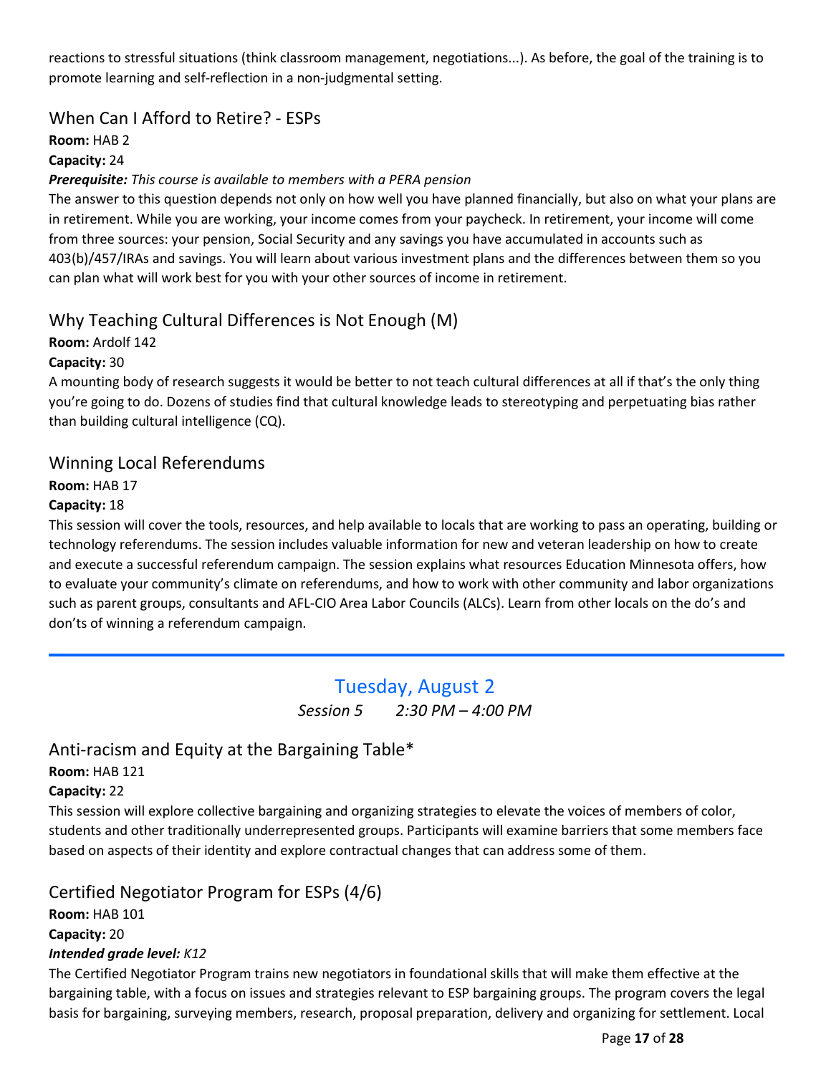<span id="page-16-0"></span>reactions to stressful situations (think classroom management, negotiations...). As before, the goal of the training is to promote learning and self-reflection in a non-judgmental setting.

# When Can I Afford to Retire? - ESPs

Room: HAB 2

## Capacity: 24

## Prerequisite: This course is available to members with a PERA pension

The answer to this question depends not only on how well you have planned financially, but also on what your plans are in retirement. While you are working, your income comes from your paycheck. In retirement, your income will come from three sources: your pension, Social Security and any savings you have accumulated in accounts such as 403(b)/457/IRAs and savings. You will learn about various investment plans and the differences between them so you can plan what will work best for you with your other sources of income in retirement.

# Why Teaching Cultural Differences is Not Enough (M)

Room: Ardolf 142

Capacity: 30

A mounting body of research suggests it would be better to not teach cultural differences at all if that's the only thing you're going to do. Dozens of studies find that cultural knowledge leads to stereotyping and perpetuating bias rather than building cultural intelligence (CQ).

## Winning Local Referendums

Room: HAB 17

## Capacity: 18

This session will cover the tools, resources, and help available to locals that are working to pass an operating, building or technology referendums. The session includes valuable information for new and veteran leadership on how to create and execute a successful referendum campaign. The session explains what resources Education Minnesota offers, how to evaluate your community's climate on referendums, and how to work with other community and labor organizations such as parent groups, consultants and AFL-CIO Area Labor Councils (ALCs). Learn from other locals on the do's and don'ts of winning a referendum campaign.

# Tuesday, August 2

Session 5 2:30 PM – 4:00 PM

# Anti-racism and Equity at the Bargaining Table\*

## Room: HAB 121

## Capacity: 22

This session will explore collective bargaining and organizing strategies to elevate the voices of members of color, students and other traditionally underrepresented groups. Participants will examine barriers that some members face based on aspects of their identity and explore contractual changes that can address some of them.

# Certified Negotiator Program for ESPs (4/6)

Room: HAB 101 Capacity: 20 Intended grade level: K12

The Certified Negotiator Program trains new negotiators in foundational skills that will make them effective at the bargaining table, with a focus on issues and strategies relevant to ESP bargaining groups. The program covers the legal basis for bargaining, surveying members, research, proposal preparation, delivery and organizing for settlement. Local

Page 17 of 28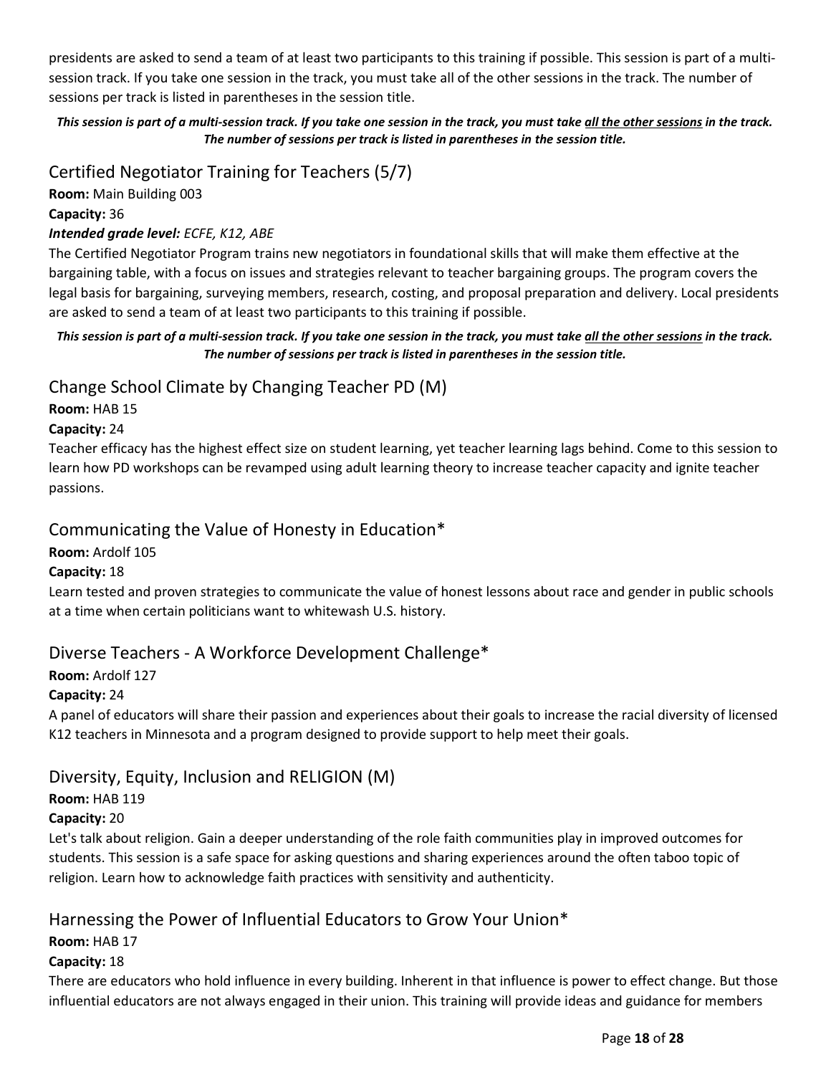presidents are asked to send a team of at least two participants to this training if possible. This session is part of a multisession track. If you take one session in the track, you must take all of the other sessions in the track. The number of sessions per track is listed in parentheses in the session title.

## This session is part of a multi-session track. If you take one session in the track, you must take all the other sessions in the track. The number of sessions per track is listed in parentheses in the session title.

# Certified Negotiator Training for Teachers (5/7)

Room: Main Building 003

## Capacity: 36

## Intended grade level: ECFE, K12, ABE

The Certified Negotiator Program trains new negotiators in foundational skills that will make them effective at the bargaining table, with a focus on issues and strategies relevant to teacher bargaining groups. The program covers the legal basis for bargaining, surveying members, research, costing, and proposal preparation and delivery. Local presidents are asked to send a team of at least two participants to this training if possible.

## This session is part of a multi-session track. If you take one session in the track, you must take all the other sessions in the track. The number of sessions per track is listed in parentheses in the session title.

# Change School Climate by Changing Teacher PD (M)

## Room: HAB 15

## Capacity: 24

Teacher efficacy has the highest effect size on student learning, yet teacher learning lags behind. Come to this session to learn how PD workshops can be revamped using adult learning theory to increase teacher capacity and ignite teacher passions.

# Communicating the Value of Honesty in Education\*

## Room: Ardolf 105

## Capacity: 18

Learn tested and proven strategies to communicate the value of honest lessons about race and gender in public schools at a time when certain politicians want to whitewash U.S. history.

# Diverse Teachers - A Workforce Development Challenge\*

## Room: Ardolf 127

## Capacity: 24

A panel of educators will share their passion and experiences about their goals to increase the racial diversity of licensed K12 teachers in Minnesota and a program designed to provide support to help meet their goals.

# Diversity, Equity, Inclusion and RELIGION (M)

## Room: HAB 119

## Capacity: 20

Let's talk about religion. Gain a deeper understanding of the role faith communities play in improved outcomes for students. This session is a safe space for asking questions and sharing experiences around the often taboo topic of religion. Learn how to acknowledge faith practices with sensitivity and authenticity.

# Harnessing the Power of Influential Educators to Grow Your Union\*

## Room: HAB 17

## Capacity: 18

There are educators who hold influence in every building. Inherent in that influence is power to effect change. But those influential educators are not always engaged in their union. This training will provide ideas and guidance for members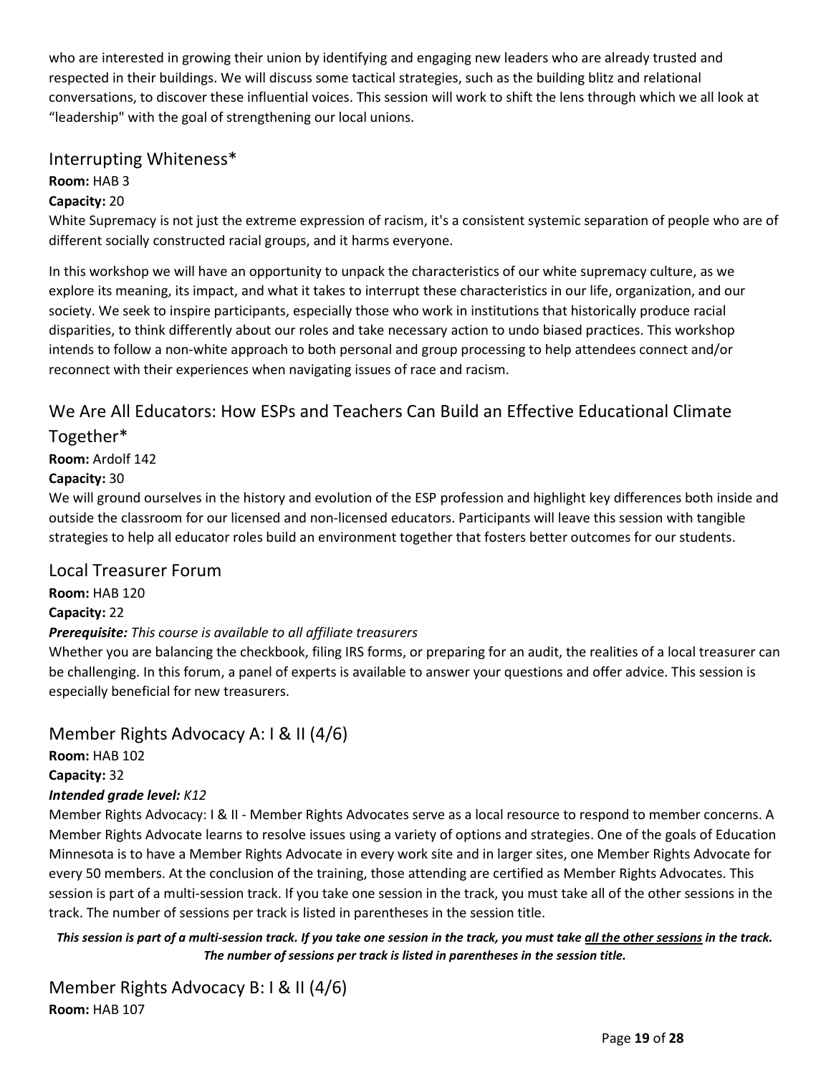who are interested in growing their union by identifying and engaging new leaders who are already trusted and respected in their buildings. We will discuss some tactical strategies, such as the building blitz and relational conversations, to discover these influential voices. This session will work to shift the lens through which we all look at "leadership" with the goal of strengthening our local unions.

# Interrupting Whiteness\*

## Room: HAB 3

## Capacity: 20

White Supremacy is not just the extreme expression of racism, it's a consistent systemic separation of people who are of different socially constructed racial groups, and it harms everyone.

In this workshop we will have an opportunity to unpack the characteristics of our white supremacy culture, as we explore its meaning, its impact, and what it takes to interrupt these characteristics in our life, organization, and our society. We seek to inspire participants, especially those who work in institutions that historically produce racial disparities, to think differently about our roles and take necessary action to undo biased practices. This workshop intends to follow a non-white approach to both personal and group processing to help attendees connect and/or reconnect with their experiences when navigating issues of race and racism.

# We Are All Educators: How ESPs and Teachers Can Build an Effective Educational Climate

# Together\*

Room: Ardolf 142

## Capacity: 30

We will ground ourselves in the history and evolution of the ESP profession and highlight key differences both inside and outside the classroom for our licensed and non-licensed educators. Participants will leave this session with tangible strategies to help all educator roles build an environment together that fosters better outcomes for our students.

## Local Treasurer Forum

Room: HAB 120

## Capacity: 22

## Prerequisite: This course is available to all affiliate treasurers

Whether you are balancing the checkbook, filing IRS forms, or preparing for an audit, the realities of a local treasurer can be challenging. In this forum, a panel of experts is available to answer your questions and offer advice. This session is especially beneficial for new treasurers.

# Member Rights Advocacy A: I & II (4/6)

Room: HAB 102 Capacity: 32 Intended grade level: K12

Member Rights Advocacy: I & II - Member Rights Advocates serve as a local resource to respond to member concerns. A Member Rights Advocate learns to resolve issues using a variety of options and strategies. One of the goals of Education Minnesota is to have a Member Rights Advocate in every work site and in larger sites, one Member Rights Advocate for every 50 members. At the conclusion of the training, those attending are certified as Member Rights Advocates. This session is part of a multi-session track. If you take one session in the track, you must take all of the other sessions in the track. The number of sessions per track is listed in parentheses in the session title.

This session is part of a multi-session track. If you take one session in the track, you must take all the other sessions in the track. The number of sessions per track is listed in parentheses in the session title.

Member Rights Advocacy B: I & II (4/6) Room: HAB 107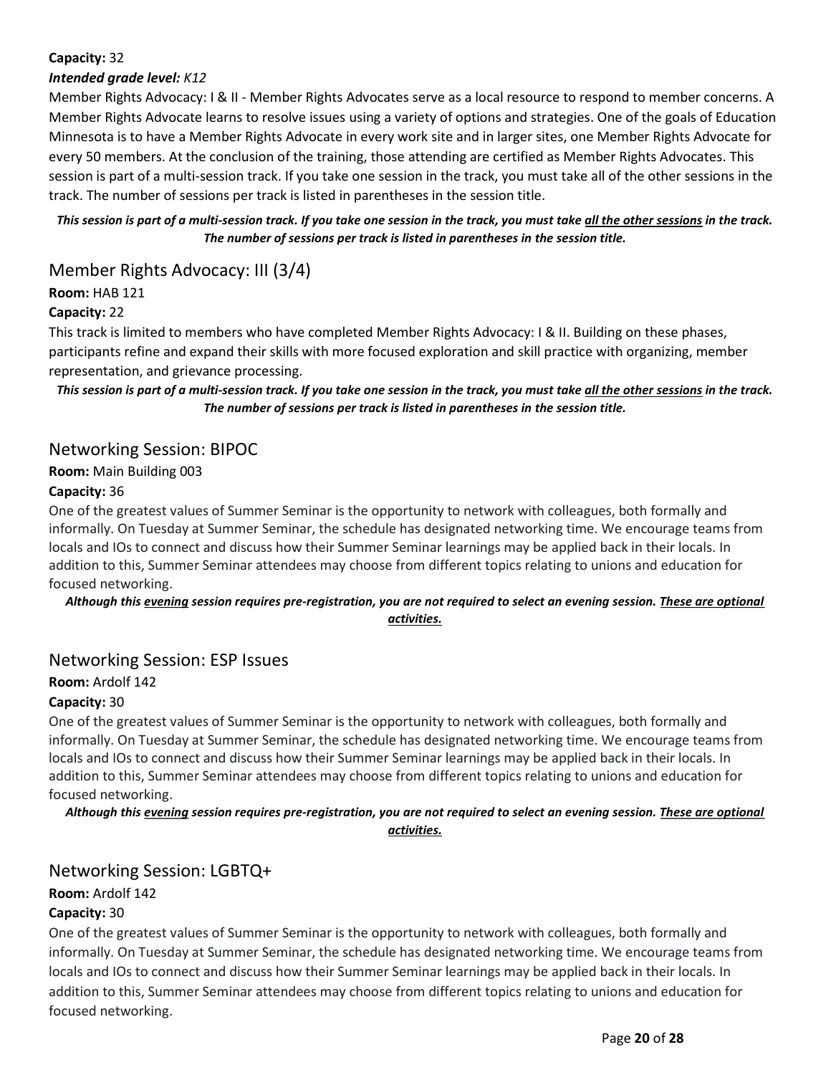## Capacity: 32

## Intended grade level: K12

Member Rights Advocacy: I & II - Member Rights Advocates serve as a local resource to respond to member concerns. A Member Rights Advocate learns to resolve issues using a variety of options and strategies. One of the goals of Education Minnesota is to have a Member Rights Advocate in every work site and in larger sites, one Member Rights Advocate for every 50 members. At the conclusion of the training, those attending are certified as Member Rights Advocates. This session is part of a multi-session track. If you take one session in the track, you must take all of the other sessions in the track. The number of sessions per track is listed in parentheses in the session title.

This session is part of a multi-session track. If you take one session in the track, you must take all the other sessions in the track. The number of sessions per track is listed in parentheses in the session title.

## Member Rights Advocacy: III (3/4)

#### Room: HAB 121

## Capacity: 22

This track is limited to members who have completed Member Rights Advocacy: I & II. Building on these phases, participants refine and expand their skills with more focused exploration and skill practice with organizing, member representation, and grievance processing.

This session is part of a multi-session track. If you take one session in the track, you must take all the other sessions in the track. The number of sessions per track is listed in parentheses in the session title.

## Networking Session: BIPOC

Room: Main Building 003

#### Capacity: 36

One of the greatest values of Summer Seminar is the opportunity to network with colleagues, both formally and informally. On Tuesday at Summer Seminar, the schedule has designated networking time. We encourage teams from locals and IOs to connect and discuss how their Summer Seminar learnings may be applied back in their locals. In addition to this, Summer Seminar attendees may choose from different topics relating to unions and education for focused networking.

#### Although this evening session requires pre-registration, you are not required to select an evening session. These are optional activities.

## Networking Session: ESP Issues

Room: Ardolf 142

#### Capacity: 30

One of the greatest values of Summer Seminar is the opportunity to network with colleagues, both formally and informally. On Tuesday at Summer Seminar, the schedule has designated networking time. We encourage teams from locals and IOs to connect and discuss how their Summer Seminar learnings may be applied back in their locals. In addition to this, Summer Seminar attendees may choose from different topics relating to unions and education for focused networking.

Although this evening session requires pre-registration, you are not required to select an evening session. These are optional activities.

## Networking Session: LGBTQ+

Room: Ardolf 142

## Capacity: 30

One of the greatest values of Summer Seminar is the opportunity to network with colleagues, both formally and informally. On Tuesday at Summer Seminar, the schedule has designated networking time. We encourage teams from locals and IOs to connect and discuss how their Summer Seminar learnings may be applied back in their locals. In addition to this, Summer Seminar attendees may choose from different topics relating to unions and education for focused networking.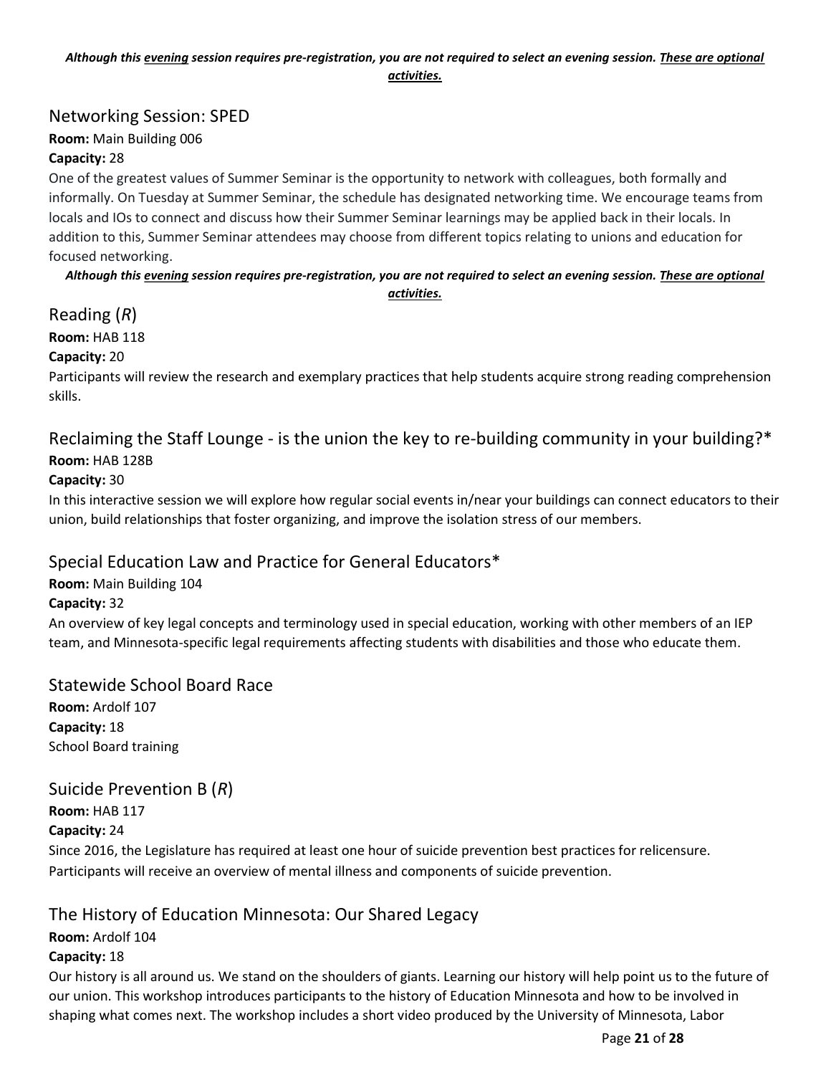#### Although this evening session requires pre-registration, you are not required to select an evening session. These are optional activities.

## Networking Session: SPED

Room: Main Building 006

#### Capacity: 28

One of the greatest values of Summer Seminar is the opportunity to network with colleagues, both formally and informally. On Tuesday at Summer Seminar, the schedule has designated networking time. We encourage teams from locals and IOs to connect and discuss how their Summer Seminar learnings may be applied back in their locals. In addition to this, Summer Seminar attendees may choose from different topics relating to unions and education for focused networking.

Although this evening session requires pre-registration, you are not required to select an evening session. These are optional activities.

## Reading (R)

## Room: HAB 118

## Capacity: 20

Participants will review the research and exemplary practices that help students acquire strong reading comprehension skills.

## Reclaiming the Staff Lounge - is the union the key to re-building community in your building?\* Room: HAB 128B

## Capacity: 30

In this interactive session we will explore how regular social events in/near your buildings can connect educators to their union, build relationships that foster organizing, and improve the isolation stress of our members.

# Special Education Law and Practice for General Educators\*

Room: Main Building 104

## Capacity: 32

An overview of key legal concepts and terminology used in special education, working with other members of an IEP team, and Minnesota-specific legal requirements affecting students with disabilities and those who educate them.

## Statewide School Board Race

Room: Ardolf 107 Capacity: 18 School Board training

## Suicide Prevention B (R)

Room: HAB 117

## Capacity: 24

Since 2016, the Legislature has required at least one hour of suicide prevention best practices for relicensure. Participants will receive an overview of mental illness and components of suicide prevention.

# The History of Education Minnesota: Our Shared Legacy

## Room: Ardolf 104

## Capacity: 18

Our history is all around us. We stand on the shoulders of giants. Learning our history will help point us to the future of our union. This workshop introduces participants to the history of Education Minnesota and how to be involved in shaping what comes next. The workshop includes a short video produced by the University of Minnesota, Labor

Page 21 of 28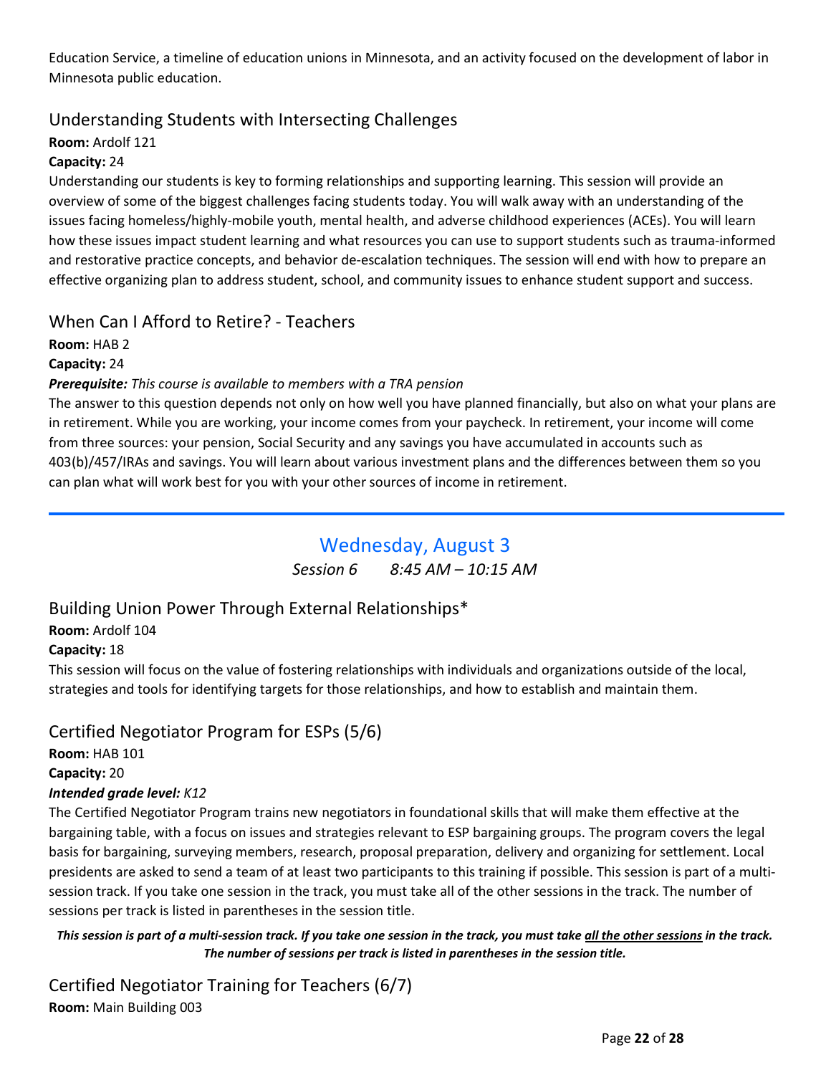<span id="page-21-0"></span>Education Service, a timeline of education unions in Minnesota, and an activity focused on the development of labor in Minnesota public education.

# Understanding Students with Intersecting Challenges

## Room: Ardolf 121

## Capacity: 24

Understanding our students is key to forming relationships and supporting learning. This session will provide an overview of some of the biggest challenges facing students today. You will walk away with an understanding of the issues facing homeless/highly-mobile youth, mental health, and adverse childhood experiences (ACEs). You will learn how these issues impact student learning and what resources you can use to support students such as trauma-informed and restorative practice concepts, and behavior de-escalation techniques. The session will end with how to prepare an effective organizing plan to address student, school, and community issues to enhance student support and success.

# When Can I Afford to Retire? - Teachers

Room: HAB 2

Capacity: 24

## Prerequisite: This course is available to members with a TRA pension

The answer to this question depends not only on how well you have planned financially, but also on what your plans are in retirement. While you are working, your income comes from your paycheck. In retirement, your income will come from three sources: your pension, Social Security and any savings you have accumulated in accounts such as 403(b)/457/IRAs and savings. You will learn about various investment plans and the differences between them so you can plan what will work best for you with your other sources of income in retirement.

# Wednesday, August 3

Session 6 8:45 AM – 10:15 AM

# Building Union Power Through External Relationships\*

Room: Ardolf 104

## Capacity: 18

This session will focus on the value of fostering relationships with individuals and organizations outside of the local, strategies and tools for identifying targets for those relationships, and how to establish and maintain them.

# Certified Negotiator Program for ESPs (5/6)

Room: HAB 101

Capacity: 20

## Intended grade level: K12

The Certified Negotiator Program trains new negotiators in foundational skills that will make them effective at the bargaining table, with a focus on issues and strategies relevant to ESP bargaining groups. The program covers the legal basis for bargaining, surveying members, research, proposal preparation, delivery and organizing for settlement. Local presidents are asked to send a team of at least two participants to this training if possible. This session is part of a multisession track. If you take one session in the track, you must take all of the other sessions in the track. The number of sessions per track is listed in parentheses in the session title.

This session is part of a multi-session track. If you take one session in the track, you must take all the other sessions in the track. The number of sessions per track is listed in parentheses in the session title.

Certified Negotiator Training for Teachers (6/7) Room: Main Building 003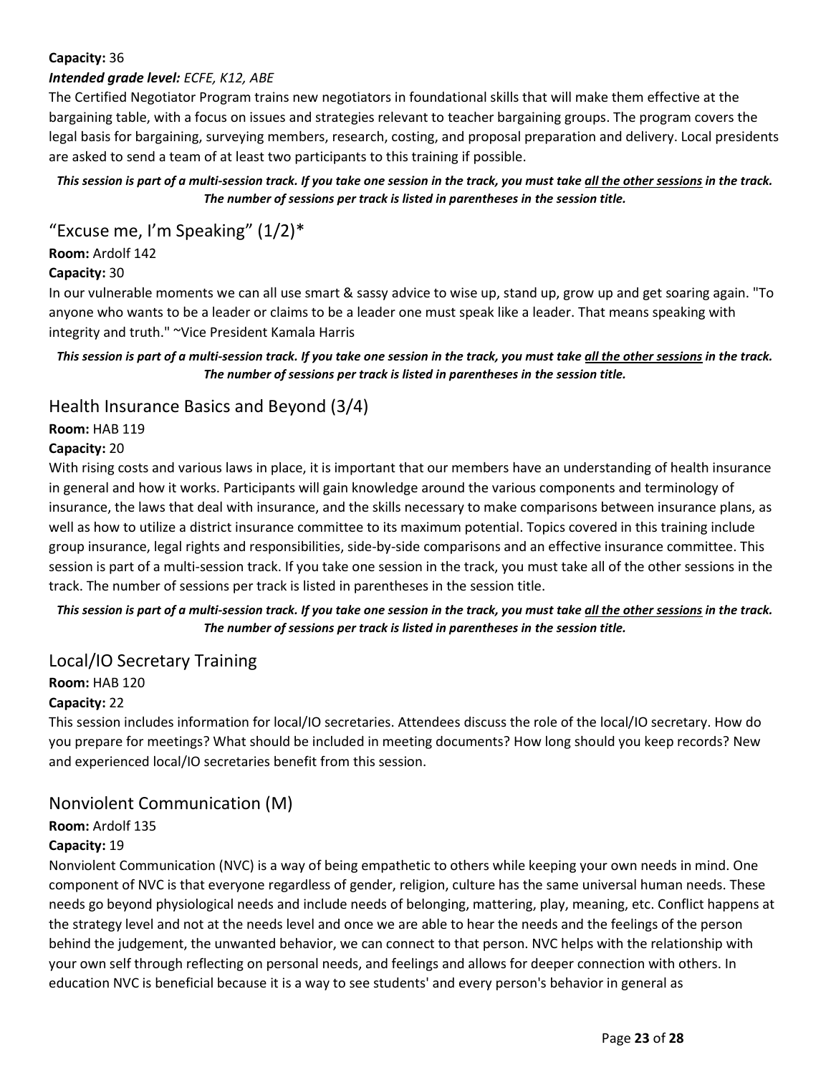## Capacity: 36

#### Intended grade level: ECFE, K12, ABE

The Certified Negotiator Program trains new negotiators in foundational skills that will make them effective at the bargaining table, with a focus on issues and strategies relevant to teacher bargaining groups. The program covers the legal basis for bargaining, surveying members, research, costing, and proposal preparation and delivery. Local presidents are asked to send a team of at least two participants to this training if possible.

#### This session is part of a multi-session track. If you take one session in the track, you must take all the other sessions in the track. The number of sessions per track is listed in parentheses in the session title.

"Excuse me, I'm Speaking"  $(1/2)^*$ 

Room: Ardolf 142

#### Capacity: 30

In our vulnerable moments we can all use smart & sassy advice to wise up, stand up, grow up and get soaring again. "To anyone who wants to be a leader or claims to be a leader one must speak like a leader. That means speaking with integrity and truth." ~Vice President Kamala Harris

#### This session is part of a multi-session track. If you take one session in the track, you must take all the other sessions in the track. The number of sessions per track is listed in parentheses in the session title.

## Health Insurance Basics and Beyond (3/4)

## Room: HAB 119

#### Capacity: 20

With rising costs and various laws in place, it is important that our members have an understanding of health insurance in general and how it works. Participants will gain knowledge around the various components and terminology of insurance, the laws that deal with insurance, and the skills necessary to make comparisons between insurance plans, as well as how to utilize a district insurance committee to its maximum potential. Topics covered in this training include group insurance, legal rights and responsibilities, side-by-side comparisons and an effective insurance committee. This session is part of a multi-session track. If you take one session in the track, you must take all of the other sessions in the track. The number of sessions per track is listed in parentheses in the session title.

#### This session is part of a multi-session track. If you take one session in the track, you must take all the other sessions in the track. The number of sessions per track is listed in parentheses in the session title.

## Local/IO Secretary Training

## Room: HAB 120

#### Capacity: 22

This session includes information for local/IO secretaries. Attendees discuss the role of the local/IO secretary. How do you prepare for meetings? What should be included in meeting documents? How long should you keep records? New and experienced local/IO secretaries benefit from this session.

## Nonviolent Communication (M)

# Room: Ardolf 135

## Capacity: 19

Nonviolent Communication (NVC) is a way of being empathetic to others while keeping your own needs in mind. One component of NVC is that everyone regardless of gender, religion, culture has the same universal human needs. These needs go beyond physiological needs and include needs of belonging, mattering, play, meaning, etc. Conflict happens at the strategy level and not at the needs level and once we are able to hear the needs and the feelings of the person behind the judgement, the unwanted behavior, we can connect to that person. NVC helps with the relationship with your own self through reflecting on personal needs, and feelings and allows for deeper connection with others. In education NVC is beneficial because it is a way to see students' and every person's behavior in general as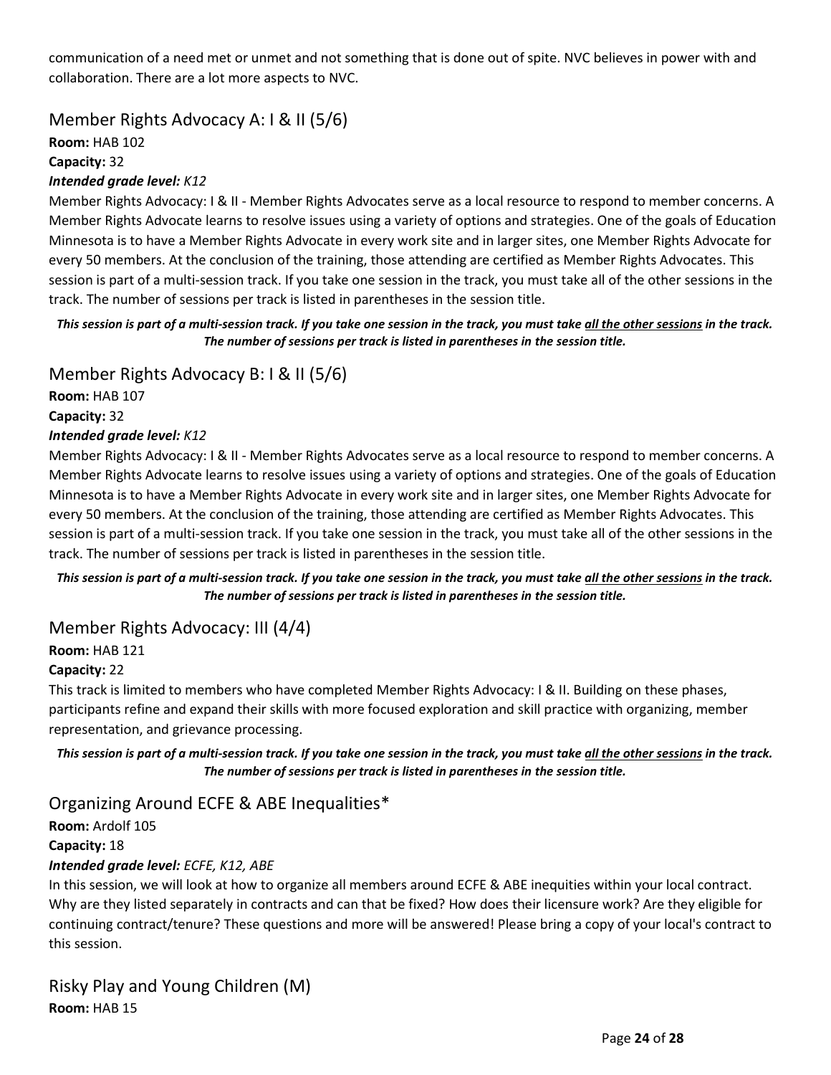communication of a need met or unmet and not something that is done out of spite. NVC believes in power with and collaboration. There are a lot more aspects to NVC.

Member Rights Advocacy A: I & II (5/6)

Room: HAB 102

Capacity: 32

## Intended grade level: K12

Member Rights Advocacy: I & II - Member Rights Advocates serve as a local resource to respond to member concerns. A Member Rights Advocate learns to resolve issues using a variety of options and strategies. One of the goals of Education Minnesota is to have a Member Rights Advocate in every work site and in larger sites, one Member Rights Advocate for every 50 members. At the conclusion of the training, those attending are certified as Member Rights Advocates. This session is part of a multi-session track. If you take one session in the track, you must take all of the other sessions in the track. The number of sessions per track is listed in parentheses in the session title.

#### This session is part of a multi-session track. If you take one session in the track, you must take all the other sessions in the track. The number of sessions per track is listed in parentheses in the session title.

Member Rights Advocacy B: I & II (5/6)

Room: HAB 107 Capacity: 32 Intended grade level: K12

Member Rights Advocacy: I & II - Member Rights Advocates serve as a local resource to respond to member concerns. A Member Rights Advocate learns to resolve issues using a variety of options and strategies. One of the goals of Education Minnesota is to have a Member Rights Advocate in every work site and in larger sites, one Member Rights Advocate for every 50 members. At the conclusion of the training, those attending are certified as Member Rights Advocates. This session is part of a multi-session track. If you take one session in the track, you must take all of the other sessions in the track. The number of sessions per track is listed in parentheses in the session title.

This session is part of a multi-session track. If you take one session in the track, you must take all the other sessions in the track. The number of sessions per track is listed in parentheses in the session title.

## Member Rights Advocacy: III (4/4)

Room: HAB 121

## Capacity: 22

This track is limited to members who have completed Member Rights Advocacy: I & II. Building on these phases, participants refine and expand their skills with more focused exploration and skill practice with organizing, member representation, and grievance processing.

This session is part of a multi-session track. If you take one session in the track, you must take all the other sessions in the track. The number of sessions per track is listed in parentheses in the session title.

## Organizing Around ECFE & ABE Inequalities\*

Room: Ardolf 105 Capacity: 18 Intended grade level: ECFE, K12, ABE

In this session, we will look at how to organize all members around ECFE & ABE inequities within your local contract. Why are they listed separately in contracts and can that be fixed? How does their licensure work? Are they eligible for continuing contract/tenure? These questions and more will be answered! Please bring a copy of your local's contract to this session.

Risky Play and Young Children (M) Room: HAB 15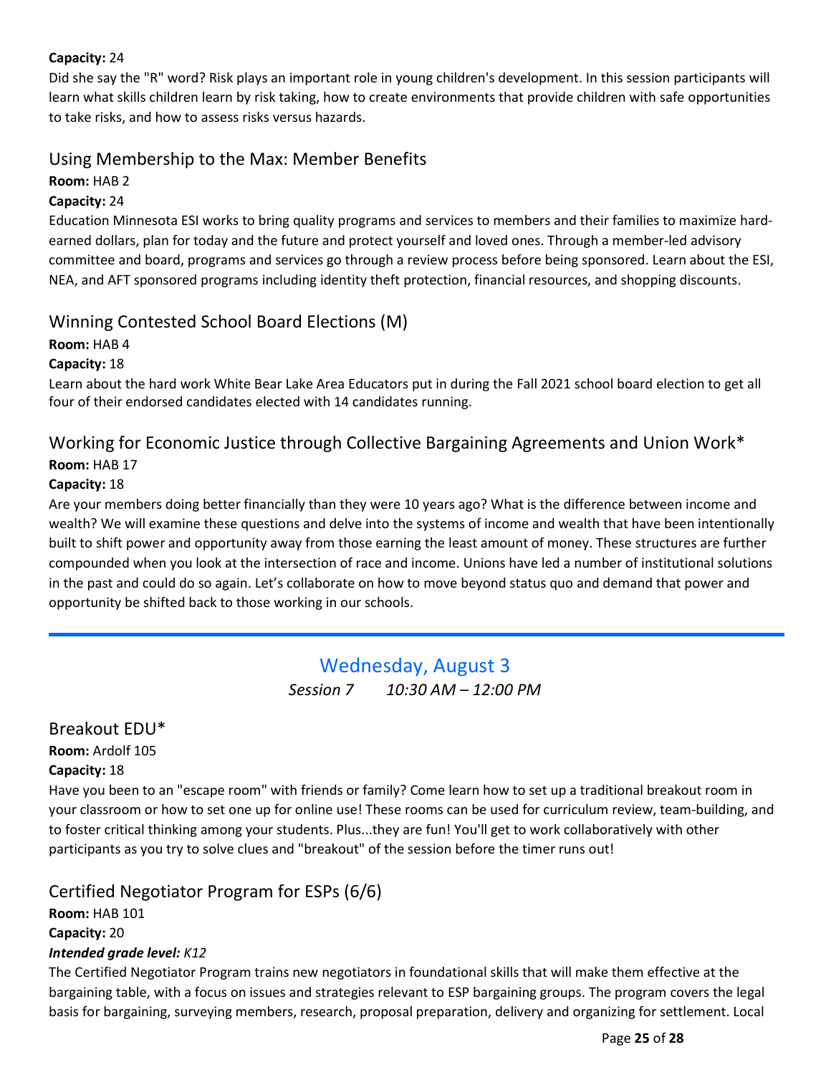## <span id="page-24-0"></span>Capacity: 24

Did she say the "R" word? Risk plays an important role in young children's development. In this session participants will learn what skills children learn by risk taking, how to create environments that provide children with safe opportunities to take risks, and how to assess risks versus hazards.

# Using Membership to the Max: Member Benefits

## Room: HAB 2

#### Capacity: 24

Education Minnesota ESI works to bring quality programs and services to members and their families to maximize hardearned dollars, plan for today and the future and protect yourself and loved ones. Through a member-led advisory committee and board, programs and services go through a review process before being sponsored. Learn about the ESI, NEA, and AFT sponsored programs including identity theft protection, financial resources, and shopping discounts.

# Winning Contested School Board Elections (M)

#### Room: HAB 4

#### Capacity: 18

Learn about the hard work White Bear Lake Area Educators put in during the Fall 2021 school board election to get all four of their endorsed candidates elected with 14 candidates running.

# Working for Economic Justice through Collective Bargaining Agreements and Union Work\* Room: HAB 17

#### Capacity: 18

Are your members doing better financially than they were 10 years ago? What is the difference between income and wealth? We will examine these questions and delve into the systems of income and wealth that have been intentionally built to shift power and opportunity away from those earning the least amount of money. These structures are further compounded when you look at the intersection of race and income. Unions have led a number of institutional solutions in the past and could do so again. Let's collaborate on how to move beyond status quo and demand that power and opportunity be shifted back to those working in our schools.

# Wednesday, August 3 Session 7 10:30 AM - 12:00 PM

# Breakout EDU\*

Room: Ardolf 105

#### Capacity: 18

Have you been to an "escape room" with friends or family? Come learn how to set up a traditional breakout room in your classroom or how to set one up for online use! These rooms can be used for curriculum review, team-building, and to foster critical thinking among your students. Plus...they are fun! You'll get to work collaboratively with other participants as you try to solve clues and "breakout" of the session before the timer runs out!

## Certified Negotiator Program for ESPs (6/6)

Room: HAB 101 Capacity: 20 Intended grade level: K12

The Certified Negotiator Program trains new negotiators in foundational skills that will make them effective at the bargaining table, with a focus on issues and strategies relevant to ESP bargaining groups. The program covers the legal basis for bargaining, surveying members, research, proposal preparation, delivery and organizing for settlement. Local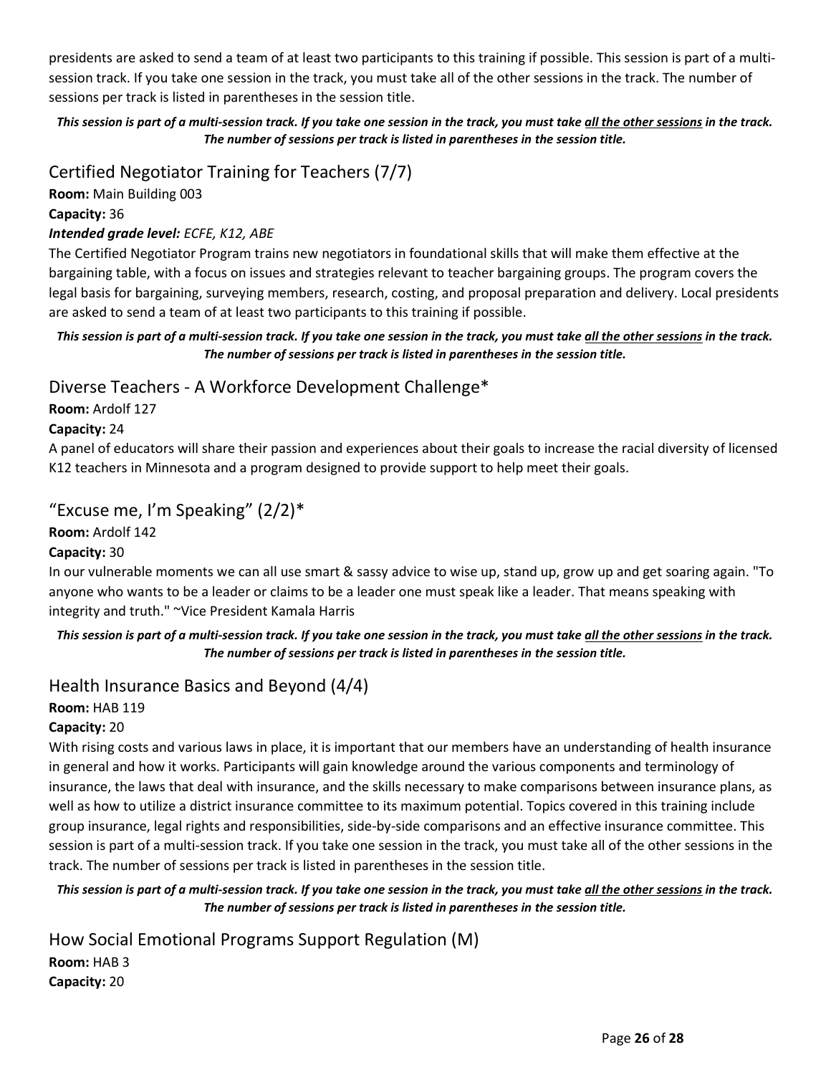presidents are asked to send a team of at least two participants to this training if possible. This session is part of a multisession track. If you take one session in the track, you must take all of the other sessions in the track. The number of sessions per track is listed in parentheses in the session title.

## This session is part of a multi-session track. If you take one session in the track, you must take all the other sessions in the track. The number of sessions per track is listed in parentheses in the session title.

# Certified Negotiator Training for Teachers (7/7)

Room: Main Building 003

## Capacity: 36

## Intended grade level: ECFE, K12, ABE

The Certified Negotiator Program trains new negotiators in foundational skills that will make them effective at the bargaining table, with a focus on issues and strategies relevant to teacher bargaining groups. The program covers the legal basis for bargaining, surveying members, research, costing, and proposal preparation and delivery. Local presidents are asked to send a team of at least two participants to this training if possible.

## This session is part of a multi-session track. If you take one session in the track, you must take all the other sessions in the track. The number of sessions per track is listed in parentheses in the session title.

# Diverse Teachers - A Workforce Development Challenge\*

Room: Ardolf 127

## Capacity: 24

A panel of educators will share their passion and experiences about their goals to increase the racial diversity of licensed K12 teachers in Minnesota and a program designed to provide support to help meet their goals.

# "Excuse me, I'm Speaking"  $(2/2)^*$

## Room: Ardolf 142

## Capacity: 30

In our vulnerable moments we can all use smart & sassy advice to wise up, stand up, grow up and get soaring again. "To anyone who wants to be a leader or claims to be a leader one must speak like a leader. That means speaking with integrity and truth." ~Vice President Kamala Harris

## This session is part of a multi-session track. If you take one session in the track, you must take all the other sessions in the track. The number of sessions per track is listed in parentheses in the session title.

# Health Insurance Basics and Beyond (4/4)

## Room: HAB 119

## Capacity: 20

With rising costs and various laws in place, it is important that our members have an understanding of health insurance in general and how it works. Participants will gain knowledge around the various components and terminology of insurance, the laws that deal with insurance, and the skills necessary to make comparisons between insurance plans, as well as how to utilize a district insurance committee to its maximum potential. Topics covered in this training include group insurance, legal rights and responsibilities, side-by-side comparisons and an effective insurance committee. This session is part of a multi-session track. If you take one session in the track, you must take all of the other sessions in the track. The number of sessions per track is listed in parentheses in the session title.

#### This session is part of a multi-session track. If you take one session in the track, you must take all the other sessions in the track. The number of sessions per track is listed in parentheses in the session title.

How Social Emotional Programs Support Regulation (M) Room: HAB 3 Capacity: 20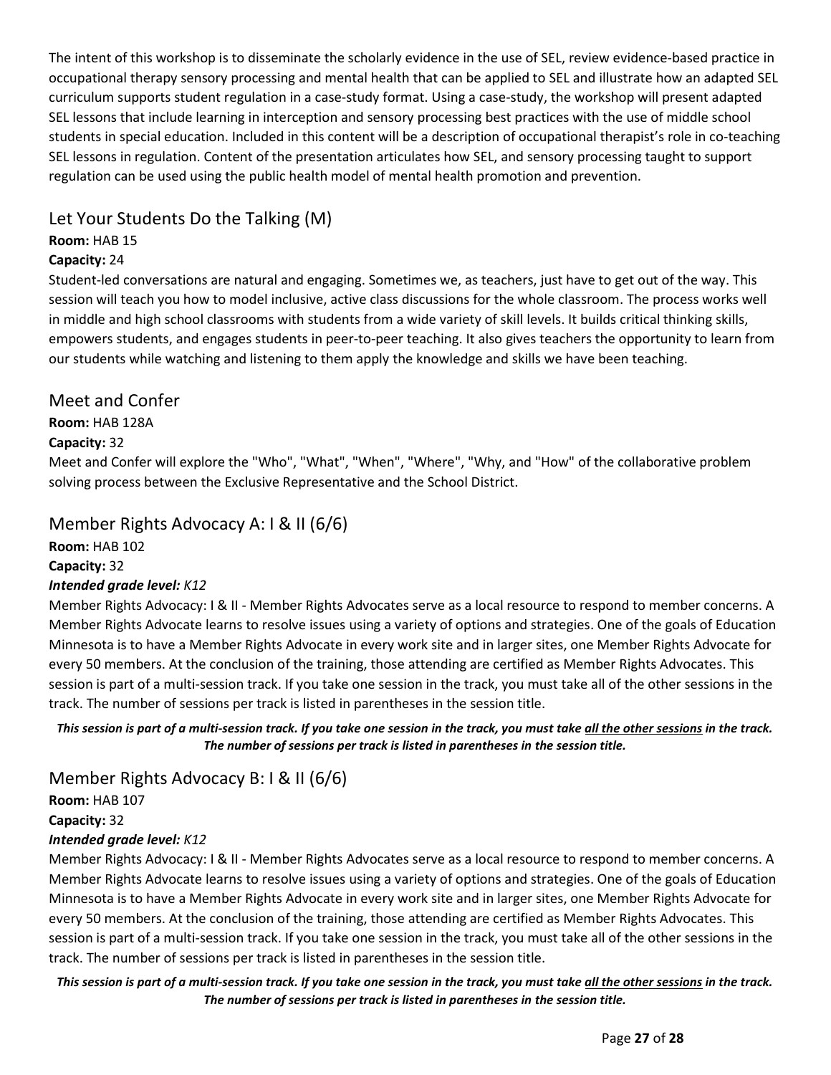The intent of this workshop is to disseminate the scholarly evidence in the use of SEL, review evidence-based practice in occupational therapy sensory processing and mental health that can be applied to SEL and illustrate how an adapted SEL curriculum supports student regulation in a case-study format. Using a case-study, the workshop will present adapted SEL lessons that include learning in interception and sensory processing best practices with the use of middle school students in special education. Included in this content will be a description of occupational therapist's role in co-teaching SEL lessons in regulation. Content of the presentation articulates how SEL, and sensory processing taught to support regulation can be used using the public health model of mental health promotion and prevention.

# Let Your Students Do the Talking (M)

## Room: HAB 15

## Capacity: 24

Student-led conversations are natural and engaging. Sometimes we, as teachers, just have to get out of the way. This session will teach you how to model inclusive, active class discussions for the whole classroom. The process works well in middle and high school classrooms with students from a wide variety of skill levels. It builds critical thinking skills, empowers students, and engages students in peer-to-peer teaching. It also gives teachers the opportunity to learn from our students while watching and listening to them apply the knowledge and skills we have been teaching.

# Meet and Confer

# Room: HAB 128A

## Capacity: 32

Meet and Confer will explore the "Who", "What", "When", "Where", "Why, and "How" of the collaborative problem solving process between the Exclusive Representative and the School District.

# Member Rights Advocacy A: I & II (6/6)

Room: HAB 102

Capacity: 32

## Intended grade level: K12

Member Rights Advocacy: I & II - Member Rights Advocates serve as a local resource to respond to member concerns. A Member Rights Advocate learns to resolve issues using a variety of options and strategies. One of the goals of Education Minnesota is to have a Member Rights Advocate in every work site and in larger sites, one Member Rights Advocate for every 50 members. At the conclusion of the training, those attending are certified as Member Rights Advocates. This session is part of a multi-session track. If you take one session in the track, you must take all of the other sessions in the track. The number of sessions per track is listed in parentheses in the session title.

This session is part of a multi-session track. If you take one session in the track, you must take all the other sessions in the track. The number of sessions per track is listed in parentheses in the session title.

Member Rights Advocacy B: I & II (6/6)

Room: HAB 107

Capacity: 32

## Intended grade level: K12

Member Rights Advocacy: I & II - Member Rights Advocates serve as a local resource to respond to member concerns. A Member Rights Advocate learns to resolve issues using a variety of options and strategies. One of the goals of Education Minnesota is to have a Member Rights Advocate in every work site and in larger sites, one Member Rights Advocate for every 50 members. At the conclusion of the training, those attending are certified as Member Rights Advocates. This session is part of a multi-session track. If you take one session in the track, you must take all of the other sessions in the track. The number of sessions per track is listed in parentheses in the session title.

This session is part of a multi-session track. If you take one session in the track, you must take all the other sessions in the track. The number of sessions per track is listed in parentheses in the session title.